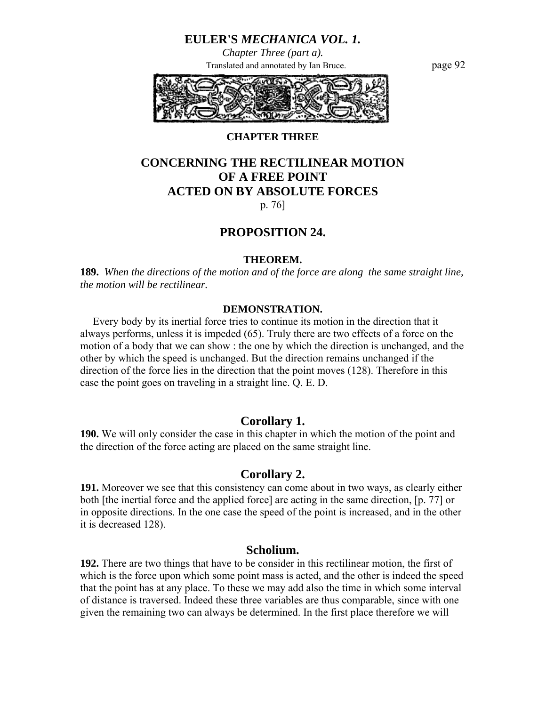*Chapter Three (part a).* Translated and annotated by Ian Bruce. page 92



# **CHAPTER THREE**

# **CONCERNING THE RECTILINEAR MOTION OF A FREE POINT ACTED ON BY ABSOLUTE FORCES**  p. 76]

# **PROPOSITION 24.**

#### **THEOREM.**

**189.** *When the directions of the motion and of the force are along the same straight line, the motion will be rectilinear.* 

### **DEMONSTRATION.**

 Every body by its inertial force tries to continue its motion in the direction that it always performs, unless it is impeded (65). Truly there are two effects of a force on the motion of a body that we can show : the one by which the direction is unchanged, and the other by which the speed is unchanged. But the direction remains unchanged if the direction of the force lies in the direction that the point moves (128). Therefore in this case the point goes on traveling in a straight line. Q. E. D.

# **Corollary 1.**

**190.** We will only consider the case in this chapter in which the motion of the point and the direction of the force acting are placed on the same straight line.

### **Corollary 2.**

**191.** Moreover we see that this consistency can come about in two ways, as clearly either both [the inertial force and the applied force] are acting in the same direction, [p. 77] or in opposite directions. In the one case the speed of the point is increased, and in the other it is decreased 128).

### **Scholium.**

**192.** There are two things that have to be consider in this rectilinear motion, the first of which is the force upon which some point mass is acted, and the other is indeed the speed that the point has at any place. To these we may add also the time in which some interval of distance is traversed. Indeed these three variables are thus comparable, since with one given the remaining two can always be determined. In the first place therefore we will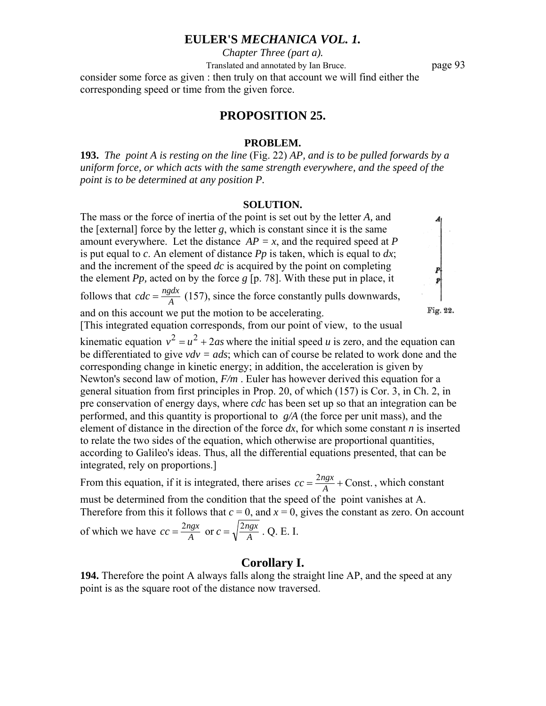*Chapter Three (part a).*

Translated and annotated by Ian Bruce. page 93

consider some force as given : then truly on that account we will find either the corresponding speed or time from the given force.

## **PROPOSITION 25.**

#### **PROBLEM.**

**193.** *The point A is resting on the line* (Fig. 22) *AP, and is to be pulled forwards by a uniform force, or which acts with the same strength everywhere, and the speed of the point is to be determined at any position P.* 

#### **SOLUTION.**

The mass or the force of inertia of the point is set out by the letter *A,* and the [external] force by the letter *g*, which is constant since it is the same amount everywhere. Let the distance  $AP = x$ , and the required speed at *P*  $\begin{array}{c} \begin{array}{c} p \\ p \end{array} \end{array}$ is put equal to *c*. An element of distance *Pp* is taken, which is equal to *dx*; and the increment of the speed *dc* is acquired by the point on completing the element *Pp,* acted on by the force *g* [p. 78]. With these put in place, it follows that  $cdc = \frac{ngdx}{A}$  (157), since the force constantly pulls downwards, Fig. 22. and on this account we put the motion to be accelerating. [This integrated equation corresponds, from our point of view, to the usual kinematic equation  $v^2 = u^2 + 2as$  where the initial speed *u* is zero, and the equation can be differentiated to give *vdv = ads*; which can of course be related to work done and the corresponding change in kinetic energy; in addition, the acceleration is given by Newton's second law of motion, *F/m* . Euler has however derived this equation for a general situation from first principles in Prop. 20, of which (157) is Cor. 3, in Ch. 2, in pre conservation of energy days, where *cdc* has been set up so that an integration can be performed, and this quantity is proportional to *g/A* (the force per unit mass), and the element of distance in the direction of the force *dx*, for which some constant *n* is inserted to relate the two sides of the equation, which otherwise are proportional quantities,

according to Galileo's ideas. Thus, all the differential equations presented, that can be integrated, rely on proportions.]

From this equation, if it is integrated, there arises  $cc = \frac{2ngx}{A} +$ Const., which constant must be determined from the condition that the speed of the point vanishes at A. Therefore from this it follows that  $c = 0$ , and  $x = 0$ , gives the constant as zero. On account of which we have  $cc = \frac{2ngx}{A}$  or  $c = \sqrt{\frac{2ngx}{A}}$  $cc = \frac{2ngx}{A}$  or  $c = \sqrt{\frac{2ngx}{A}}$ . Q. E. I.

### **Corollary I.**

**194.** Therefore the point A always falls along the straight line AP, and the speed at any point is as the square root of the distance now traversed.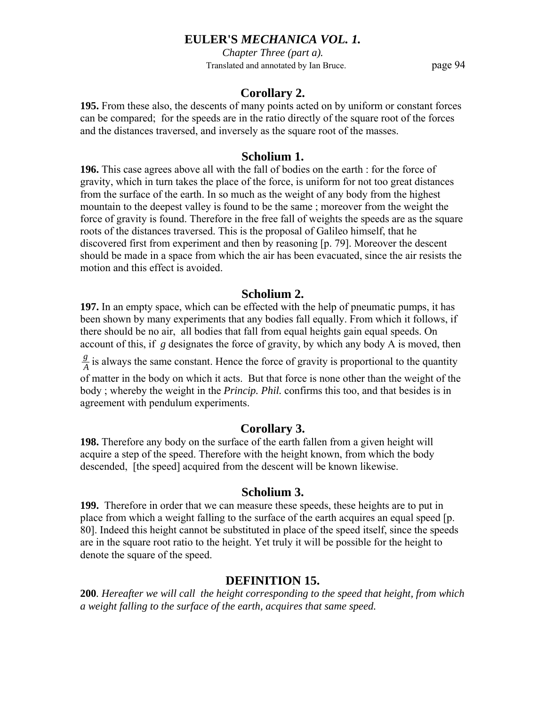*Chapter Three (part a).* Translated and annotated by Ian Bruce. page 94

# **Corollary 2.**

**195.** From these also, the descents of many points acted on by uniform or constant forces can be compared; for the speeds are in the ratio directly of the square root of the forces and the distances traversed, and inversely as the square root of the masses.

# **Scholium 1.**

**196.** This case agrees above all with the fall of bodies on the earth : for the force of gravity, which in turn takes the place of the force, is uniform for not too great distances from the surface of the earth. In so much as the weight of any body from the highest mountain to the deepest valley is found to be the same ; moreover from the weight the force of gravity is found. Therefore in the free fall of weights the speeds are as the square roots of the distances traversed. This is the proposal of Galileo himself, that he discovered first from experiment and then by reasoning [p. 79]. Moreover the descent should be made in a space from which the air has been evacuated, since the air resists the motion and this effect is avoided.

# **Scholium 2.**

**197.** In an empty space, which can be effected with the help of pneumatic pumps, it has been shown by many experiments that any bodies fall equally. From which it follows, if there should be no air, all bodies that fall from equal heights gain equal speeds. On account of this, if *g* designates the force of gravity, by which any body A is moved, then

 $\frac{g}{A}$  is always the same constant. Hence the force of gravity is proportional to the quantity

of matter in the body on which it acts. But that force is none other than the weight of the body ; whereby the weight in the *Princip. Phil.* confirms this too, and that besides is in agreement with pendulum experiments.

# **Corollary 3.**

**198.** Therefore any body on the surface of the earth fallen from a given height will acquire a step of the speed. Therefore with the height known, from which the body descended, [the speed] acquired from the descent will be known likewise.

### **Scholium 3.**

**199.** Therefore in order that we can measure these speeds, these heights are to put in place from which a weight falling to the surface of the earth acquires an equal speed [p. 80]. Indeed this height cannot be substituted in place of the speed itself, since the speeds are in the square root ratio to the height. Yet truly it will be possible for the height to denote the square of the speed.

# **DEFINITION 15.**

**200***. Hereafter we will call the height corresponding to the speed that height, from which a weight falling to the surface of the earth, acquires that same speed.*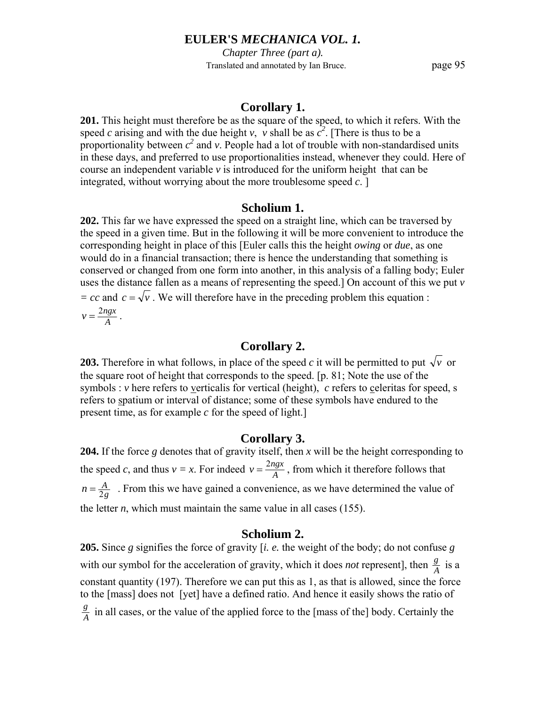*Chapter Three (part a).* Translated and annotated by Ian Bruce. page 95

## **Corollary 1.**

**201.** This height must therefore be as the square of the speed, to which it refers. With the speed *c* arising and with the due height *v*, *v* shall be as  $c^2$ . [There is thus to be a proportionality between  $c^2$  and *v*. People had a lot of trouble with non-standardised units in these days, and preferred to use proportionalities instead, whenever they could. Here of course an independent variable  $\nu$  is introduced for the uniform height that can be integrated, without worrying about the more troublesome speed *c*. ]

## **Scholium 1.**

**202.** This far we have expressed the speed on a straight line, which can be traversed by the speed in a given time. But in the following it will be more convenient to introduce the corresponding height in place of this [Euler calls this the height *owing* or *due*, as one would do in a financial transaction; there is hence the understanding that something is conserved or changed from one form into another, in this analysis of a falling body; Euler uses the distance fallen as a means of representing the speed.] On account of this we put *v = cc* and  $c = \sqrt{v}$ . We will therefore have in the preceding problem this equation :  $v = \frac{2ngx}{A}$ .

# **Corollary 2.**

**203.** Therefore in what follows, in place of the speed c it will be permitted to put  $\sqrt{v}$  or the square root of height that corresponds to the speed. [p. 81; Note the use of the symbols : *v* here refers to verticalis for vertical (height), *c* refers to celeritas for speed, s refers to spatium or interval of distance; some of these symbols have endured to the present time, as for example *c* for the speed of light.]

### **Corollary 3.**

**204.** If the force *g* denotes that of gravity itself, then *x* will be the height corresponding to the speed *c*, and thus  $v = x$ . For indeed  $v = \frac{2ngx}{A}$ , from which it therefore follows that  $n = \frac{A}{2g}$ . From this we have gained a convenience, as we have determined the value of the letter  $n$ , which must maintain the same value in all cases (155).

### **Scholium 2.**

**205.** Since *g* signifies the force of gravity [*i. e.* the weight of the body; do not confuse *g* with our symbol for the acceleration of gravity, which it does *not* represent], then  $\frac{g}{A}$  is a constant quantity (197). Therefore we can put this as 1, as that is allowed, since the force to the [mass] does not [yet] have a defined ratio. And hence it easily shows the ratio of  $\frac{g}{A}$  in all cases, or the value of the applied force to the [mass of the] body. Certainly the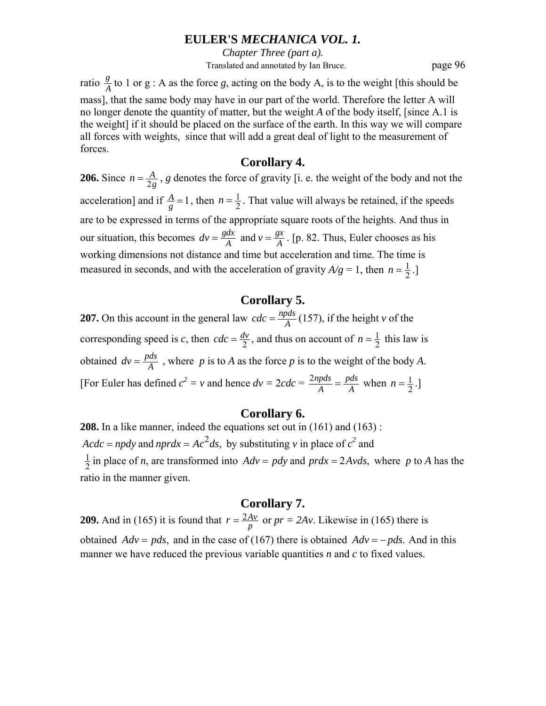*Chapter Three (part a).* Translated and annotated by Ian Bruce. page 96

ratio  $\frac{g}{A}$  to 1 or g : A as the force *g*, acting on the body A, is to the weight [this should be mass], that the same body may have in our part of the world. Therefore the letter A will no longer denote the quantity of matter, but the weight *A* of the body itself, [since A.1 is the weight] if it should be placed on the surface of the earth. In this way we will compare all forces with weights, since that will add a great deal of light to the measurement of forces.

### **Corollary 4.**

**206.** Since  $n = \frac{A}{2g}$ , *g* denotes the force of gravity [i. e. the weight of the body and not the acceleration] and if  $\frac{A}{g} = 1$ , then  $n = \frac{1}{2}$ . That value will always be retained, if the speeds are to be expressed in terms of the appropriate square roots of the heights. And thus in our situation, this becomes  $dv = \frac{gdx}{A}$  and  $v = \frac{gx}{A}$  $dv = \frac{gdx}{A}$  and  $v = \frac{gx}{A}$ . [p. 82. Thus, Euler chooses as his working dimensions not distance and time but acceleration and time. The time is measured in seconds, and with the acceleration of gravity  $A/g = 1$ , then  $n = \frac{1}{2}$ .

# **Corollary 5.**

**207.** On this account in the general law  $cdc = \frac{n\rho ds}{A}$  (157), if the height *v* of the corresponding speed is *c*, then  $cdc = \frac{dv}{2}$ , and thus on account of  $n = \frac{1}{2}$  this law is obtained  $dv = \frac{pds}{A}$ , where *p* is to *A* as the force *p* is to the weight of the body *A*. [For Euler has defined  $c^2 = v$  and hence  $dv = 2cdc = \frac{2npds}{A} = \frac{pds}{A}$  $\frac{2npds}{A} = \frac{pds}{A}$  when  $n = \frac{1}{2}$ .

### **Corollary 6.**

**208.** In a like manner, indeed the equations set out in (161) and (163) :  $\text{Ac} \cdot d\text{c} = np \cdot d\text{y}$  and  $np \cdot r \cdot d\text{x} = A \cdot c^2 \cdot d\text{s}$ , by substituting *v* in place of  $c^2$  and  $\frac{1}{2}$  in place of *n*, are transformed into  $Adv = pdy$  and  $prdx = 2Avds$ , where *p* to *A* has the ratio in the manner given.

### **Corollary 7.**

**209.** And in (165) it is found that  $r = \frac{2Av}{p}$  or  $pr = 2Av$ . Likewise in (165) there is obtained  $Adv = pds$ , and in the case of (167) there is obtained  $Adv = -pds$ . And in this manner we have reduced the previous variable quantities *n* and *c* to fixed values.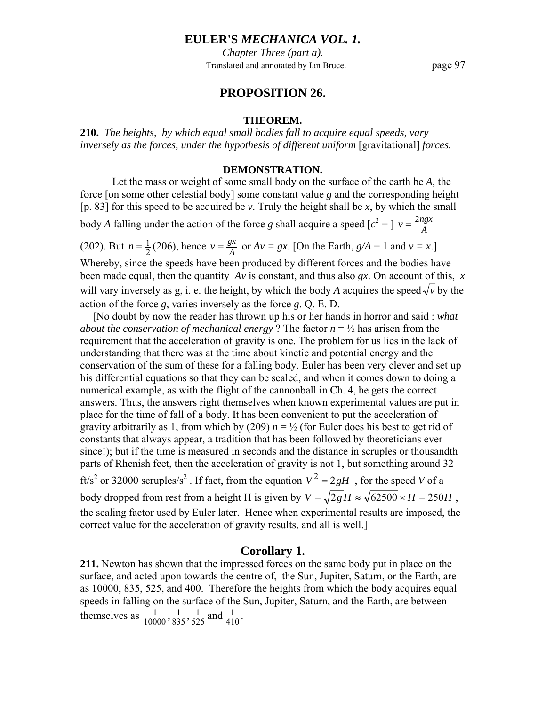*Chapter Three (part a).* Translated and annotated by Ian Bruce. page 97

## **PROPOSITION 26.**

#### **THEOREM.**

**210.** *The heights, by which equal small bodies fall to acquire equal speeds, vary inversely as the forces, under the hypothesis of different uniform* [gravitational] *forces.* 

#### **DEMONSTRATION.**

 Let the mass or weight of some small body on the surface of the earth be *A*, the force [on some other celestial body] some constant value *g* and the corresponding height [p. 83] for this speed to be acquired be *v*. Truly the height shall be *x*, by which the small body *A* falling under the action of the force *g* shall acquire a speed  $[c^2 =] v = \frac{2ngx}{A}$ 

(202). But  $n = \frac{1}{2}(206)$ , hence  $v = \frac{gx}{A}$  or  $Av = gx$ . [On the Earth,  $g/A = 1$  and  $v = x$ .] Whereby, since the speeds have been produced by different forces and the bodies have been made equal, then the quantity *Av* is constant, and thus also *gx*. On account of this, *x* will vary inversely as g, i. e. the height, by which the body *A* acquires the speed  $\sqrt{v}$  by the action of the force *g*, varies inversely as the force *g*. Q. E. D.

[No doubt by now the reader has thrown up his or her hands in horror and said : *what about the conservation of mechanical energy* ? The factor  $n = \frac{1}{2}$  has arisen from the requirement that the acceleration of gravity is one. The problem for us lies in the lack of understanding that there was at the time about kinetic and potential energy and the conservation of the sum of these for a falling body. Euler has been very clever and set up his differential equations so that they can be scaled, and when it comes down to doing a numerical example, as with the flight of the cannonball in Ch. 4, he gets the correct answers. Thus, the answers right themselves when known experimental values are put in place for the time of fall of a body. It has been convenient to put the acceleration of gravity arbitrarily as 1, from which by (209)  $n = \frac{1}{2}$  (for Euler does his best to get rid of constants that always appear, a tradition that has been followed by theoreticians ever since!); but if the time is measured in seconds and the distance in scruples or thousandth parts of Rhenish feet, then the acceleration of gravity is not 1, but something around 32 ft/s<sup>2</sup> or 32000 scruples/s<sup>2</sup>. If fact, from the equation  $V^2 = 2gH$ , for the speed *V* of a body dropped from rest from a height H is given by  $V = \sqrt{2g}H \approx \sqrt{62500} \times H = 250H$ . the scaling factor used by Euler later. Hence when experimental results are imposed, the correct value for the acceleration of gravity results, and all is well.]

## **Corollary 1.**

**211.** Newton has shown that the impressed forces on the same body put in place on the surface, and acted upon towards the centre of, the Sun, Jupiter, Saturn, or the Earth, are as 10000, 835, 525, and 400. Therefore the heights from which the body acquires equal speeds in falling on the surface of the Sun, Jupiter, Saturn, and the Earth, are between themselves as  $\frac{1}{10000}, \frac{1}{835}, \frac{1}{525}$  and  $\frac{1}{410}$ . 525 1 835 1 10000 1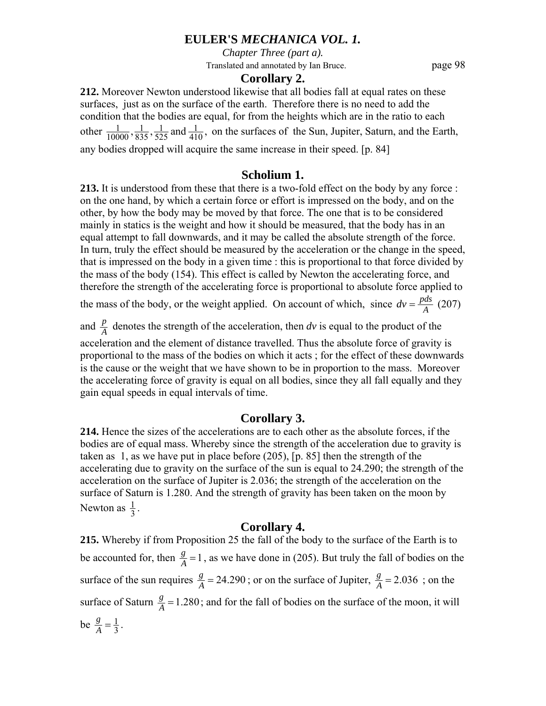*Chapter Three (part a).*

Translated and annotated by Ian Bruce. page 98

#### **Corollary 2.**

**212.** Moreover Newton understood likewise that all bodies fall at equal rates on these surfaces, just as on the surface of the earth. Therefore there is no need to add the condition that the bodies are equal, for from the heights which are in the ratio to each other  $\frac{1}{10000}, \frac{1}{835}, \frac{1}{525}$  and  $\frac{1}{410}$ , 525 1 835 1  $\frac{1}{10000}, \frac{1}{835}, \frac{1}{525}$  and  $\frac{1}{410}$ , on the surfaces of the Sun, Jupiter, Saturn, and the Earth, any bodies dropped will acquire the same increase in their speed. [p. 84]

### **Scholium 1.**

**213.** It is understood from these that there is a two-fold effect on the body by any force : on the one hand, by which a certain force or effort is impressed on the body, and on the other, by how the body may be moved by that force. The one that is to be considered mainly in statics is the weight and how it should be measured, that the body has in an equal attempt to fall downwards, and it may be called the absolute strength of the force. In turn, truly the effect should be measured by the acceleration or the change in the speed, that is impressed on the body in a given time : this is proportional to that force divided by the mass of the body (154). This effect is called by Newton the accelerating force, and therefore the strength of the accelerating force is proportional to absolute force applied to

the mass of the body, or the weight applied. On account of which, since  $dv = \frac{pds}{A}$  (207)

and  $\frac{p}{A}$  denotes the strength of the acceleration, then *dv* is equal to the product of the acceleration and the element of distance travelled. Thus the absolute force of gravity is proportional to the mass of the bodies on which it acts ; for the effect of these downwards is the cause or the weight that we have shown to be in proportion to the mass. Moreover the accelerating force of gravity is equal on all bodies, since they all fall equally and they gain equal speeds in equal intervals of time.

### **Corollary 3.**

**214.** Hence the sizes of the accelerations are to each other as the absolute forces, if the bodies are of equal mass. Whereby since the strength of the acceleration due to gravity is taken as 1, as we have put in place before (205), [p. 85] then the strength of the accelerating due to gravity on the surface of the sun is equal to 24.290; the strength of the acceleration on the surface of Jupiter is 2.036; the strength of the acceleration on the surface of Saturn is 1.280. And the strength of gravity has been taken on the moon by Newton as  $\frac{1}{3}$ .

## **Corollary 4.**

**215.** Whereby if from Proposition 25 the fall of the body to the surface of the Earth is to be accounted for, then  $\frac{g}{A} = 1$ , as we have done in (205). But truly the fall of bodies on the surface of the sun requires  $\frac{g}{A} = 24.290$ ; or on the surface of Jupiter,  $\frac{g}{A} = 2.036$ ; on the surface of Saturn  $\frac{g}{A} = 1.280$ ; and for the fall of bodies on the surface of the moon, it will be  $\frac{g}{A} = \frac{1}{3}$ .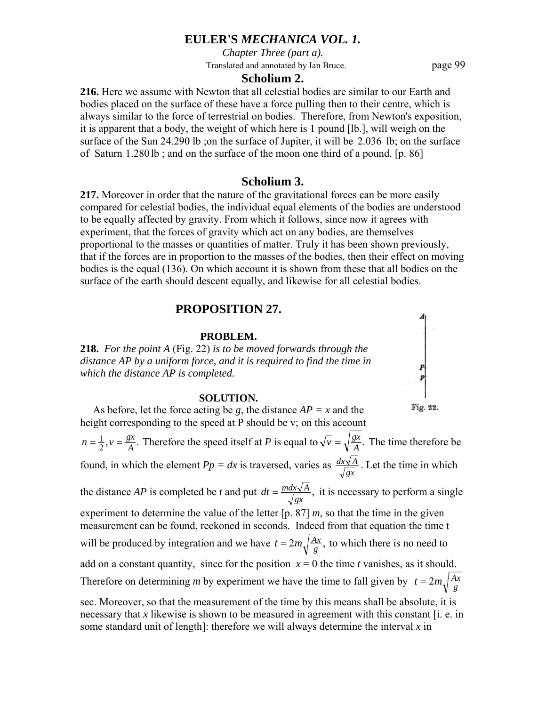*Chapter Three (part a).*

Translated and annotated by Ian Bruce. page 99

#### **Scholium 2.**

**216.** Here we assume with Newton that all celestial bodies are similar to our Earth and bodies placed on the surface of these have a force pulling then to their centre, which is always similar to the force of terrestrial on bodies. Therefore, from Newton's exposition, it is apparent that a body, the weight of which here is 1 pound [lb.], will weigh on the surface of the Sun 24.290 lb ;on the surface of Jupiter, it will be 2.036 lb; on the surface of Saturn 1.280 lb ; and on the surface of the moon one third of a pound. [p. 86]

#### **Scholium 3.**

**217.** Moreover in order that the nature of the gravitational forces can be more easily compared for celestial bodies, the individual equal elements of the bodies are understood to be equally affected by gravity. From which it follows, since now it agrees with experiment, that the forces of gravity which act on any bodies, are themselves proportional to the masses or quantities of matter. Truly it has been shown previously, that if the forces are in proportion to the masses of the bodies, then their effect on moving bodies is the equal (136). On which account it is shown from these that all bodies on the surface of the earth should descent equally, and likewise for all celestial bodies.

### **PROPOSITION 27.**

#### **PROBLEM.**

**218.** *For the point A* (Fig. 22) *is to be moved forwards through the distance AP by a uniform force, and it is required to find the time in which the distance AP is completed.* 

#### **SOLUTION.**

As before, let the force acting be *g*, the distance  $AP = x$  and the height corresponding to the speed at P should be v; on this account  $\frac{1}{2}$ ,  $v = \frac{gx}{A}$ .  $n = \frac{1}{2}$ ,  $v = \frac{gx}{A}$ . Therefore the speed itself at *P* is equal to  $\sqrt{v} = \sqrt{\frac{gx}{A}}$ . The time therefore be found, in which the element  $Pp = dx$  is traversed, varies as  $\frac{dx\sqrt{A}}{\sqrt{gx}}$ . Let the time in which the distance *AP* is completed be *t* and put  $dt = \frac{mdx\sqrt{A}}{\sqrt{gx}}$ , it is necessary to perform a single experiment to determine the value of the letter  $[p. 87]$  *m*, so that the time in the given measurement can be found, reckoned in seconds. Indeed from that equation the time t will be produced by integration and we have  $t = 2m \sqrt{\frac{Ax}{g}}$ , to which there is no need to add on a constant quantity, since for the position  $x = 0$  the time *t* vanishes, as it should. Therefore on determining *m* by experiment we have the time to fall given by  $t = 2m\sqrt{\frac{Ax}{g}}$ sec. Moreover, so that the measurement of the time by this means shall be absolute, it is necessary that *x* likewise is shown to be measured in agreement with this constant [i. e. in

some standard unit of length]: therefore we will always determine the interval *x* in

Fig. 22.

 $\begin{array}{c} p \\ p \end{array}$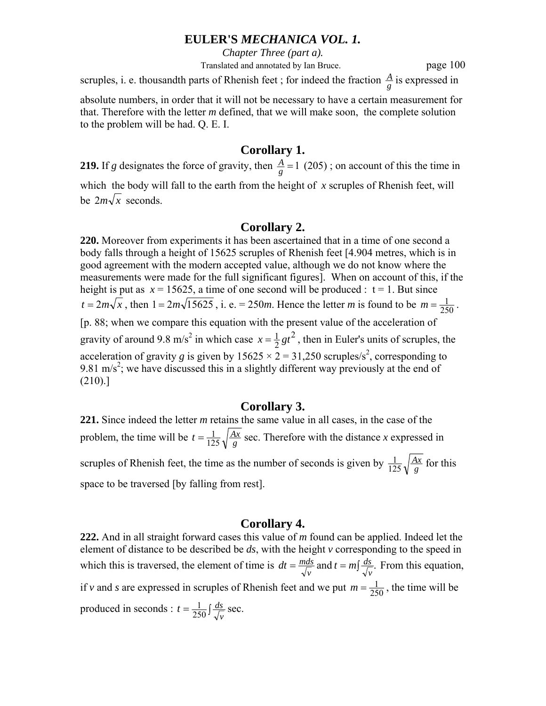*Chapter Three (part a).*

Translated and annotated by Ian Bruce. page 100

scruples, i. e. thousandth parts of Rhenish feet; for indeed the fraction  $\frac{A}{g}$  is expressed in

absolute numbers, in order that it will not be necessary to have a certain measurement for that. Therefore with the letter *m* defined, that we will make soon, the complete solution to the problem will be had. Q. E. I.

# **Corollary 1.**

**219.** If *g* designates the force of gravity, then  $\frac{A}{g} = 1$  (205); on account of this the time in which the body will fall to the earth from the height of *x* scruples of Rhenish feet, will be  $2m\sqrt{x}$  seconds.

# **Corollary 2.**

**220.** Moreover from experiments it has been ascertained that in a time of one second a body falls through a height of 15625 scruples of Rhenish feet [4.904 metres, which is in good agreement with the modern accepted value, although we do not know where the measurements were made for the full significant figures]. When on account of this, if the height is put as  $x = 15625$ , a time of one second will be produced :  $t = 1$ . But since  $t = 2m\sqrt{x}$ , then  $1 = 2m\sqrt{15625}$ , i. e. = 250*m*. Hence the letter *m* is found to be  $m = \frac{1}{250}$ . [p. 88; when we compare this equation with the present value of the acceleration of gravity of around 9.8 m/s<sup>2</sup> in which case  $x = \frac{1}{2}gt^2$ , then in Euler's units of scruples, the acceleration of gravity g is given by  $15625 \times 2 = 31,250$  scruples/s<sup>2</sup>, corresponding to 9.81 m/s<sup>2</sup>; we have discussed this in a slightly different way previously at the end of (210).]

# **Corollary 3.**

**221.** Since indeed the letter *m* retains the same value in all cases, in the case of the problem, the time will be  $t = \frac{1}{125} \sqrt{\frac{Ax}{g}}$  sec. Therefore with the distance *x* expressed in scruples of Rhenish feet, the time as the number of seconds is given by  $\frac{1}{125}\sqrt{\frac{Ax}{g}}$  $\frac{1}{125}\sqrt{\frac{Ax}{g}}$  for this space to be traversed [by falling from rest].

# **Corollary 4.**

**222.** And in all straight forward cases this value of *m* found can be applied. Indeed let the element of distance to be described be *ds*, with the height *v* corresponding to the speed in which this is traversed, the element of time is  $dt = \frac{mds}{\sqrt{v}}$  and  $t = m\int \frac{ds}{\sqrt{v}}$ . *ds*  $dt = \frac{mds}{\sqrt{v}}$  and  $t = m \int \frac{ds}{\sqrt{v}}$ . From this equation, if *v* and *s* are expressed in scruples of Rhenish feet and we put  $m = \frac{1}{250}$ , the time will be produced in seconds :  $t = \frac{1}{250} \int \frac{ds}{\sqrt{v}}$  sec.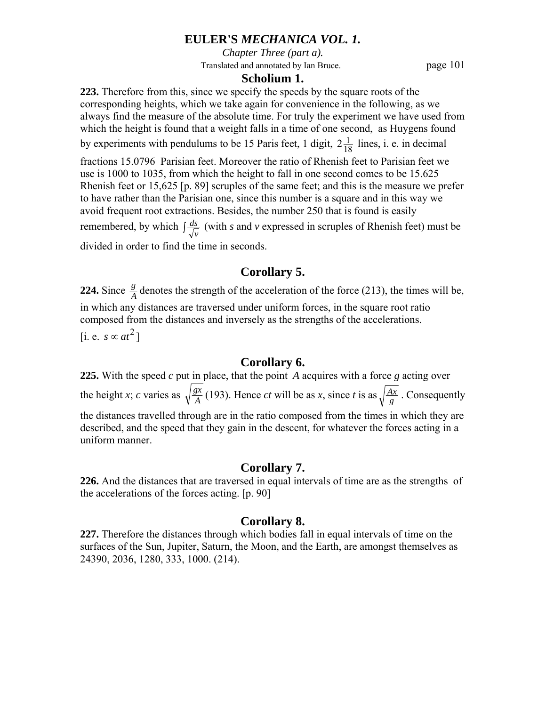*Chapter Three (part a).*

Translated and annotated by Ian Bruce. page 101

## **Scholium 1.**

**223.** Therefore from this, since we specify the speeds by the square roots of the corresponding heights, which we take again for convenience in the following, as we always find the measure of the absolute time. For truly the experiment we have used from which the height is found that a weight falls in a time of one second, as Huygens found by experiments with pendulums to be 15 Paris feet, 1 digit,  $2\frac{1}{18}$  lines, i. e. in decimal

fractions 15.0796 Parisian feet. Moreover the ratio of Rhenish feet to Parisian feet we use is 1000 to 1035, from which the height to fall in one second comes to be 15.625 Rhenish feet or 15,625 [p. 89] scruples of the same feet; and this is the measure we prefer to have rather than the Parisian one, since this number is a square and in this way we avoid frequent root extractions. Besides, the number 250 that is found is easily remembered, by which  $\int \frac{ds}{\sqrt{v}}$  (with *s* and *v* expressed in scruples of Rhenish feet) must be divided in order to find the time in seconds.

**Corollary 5.** 

**224.** Since  $\frac{g}{A}$  denotes the strength of the acceleration of the force (213), the times will be, in which any distances are traversed under uniform forces, in the square root ratio composed from the distances and inversely as the strengths of the accelerations. [i. e. *s* ∝  $at^2$ ]

# **Corollary 6.**

**225.** With the speed *c* put in place, that the point *A* acquires with a force *g* acting over the height *x*; *c* varies as  $\sqrt{\frac{gx}{A}}$  (193). Hence *ct* will be as *x*, since *t* is as  $\sqrt{\frac{Ax}{g}}$ . Consequently the distances travelled through are in the ratio composed from the times in which they are described, and the speed that they gain in the descent, for whatever the forces acting in a uniform manner.

# **Corollary 7.**

**226.** And the distances that are traversed in equal intervals of time are as the strengths of the accelerations of the forces acting. [p. 90]

# **Corollary 8.**

**227.** Therefore the distances through which bodies fall in equal intervals of time on the surfaces of the Sun, Jupiter, Saturn, the Moon, and the Earth, are amongst themselves as 24390, 2036, 1280, 333, 1000. (214).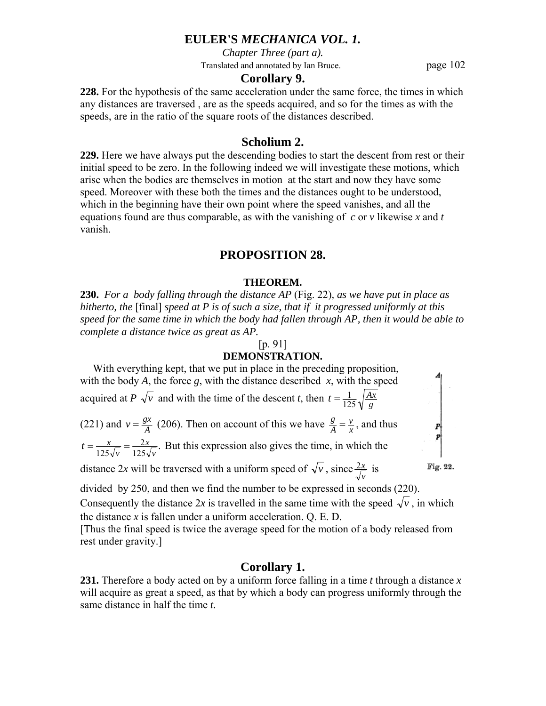*Chapter Three (part a).*

Translated and annotated by Ian Bruce. page 102

#### **Corollary 9.**

**228.** For the hypothesis of the same acceleration under the same force, the times in which any distances are traversed , are as the speeds acquired, and so for the times as with the speeds, are in the ratio of the square roots of the distances described.

## **Scholium 2.**

**229.** Here we have always put the descending bodies to start the descent from rest or their initial speed to be zero. In the following indeed we will investigate these motions, which arise when the bodies are themselves in motion at the start and now they have some speed. Moreover with these both the times and the distances ought to be understood, which in the beginning have their own point where the speed vanishes, and all the equations found are thus comparable, as with the vanishing of *c* or *v* likewise *x* and *t* vanish.

#### **PROPOSITION 28.**

#### **THEOREM.**

**230.** *For a body falling through the distance AP* (Fig. 22)*, as we have put in place as hitherto, the* [final] *speed at P is of such a size, that if it progressed uniformly at this speed for the same time in which the body had fallen through AP, then it would be able to complete a distance twice as great as AP.* 

#### [p. 91]

### **DEMONSTRATION.**



the distance *x* is fallen under a uniform acceleration. Q. E. D.

[Thus the final speed is twice the average speed for the motion of a body released from rest under gravity.]

#### **Corollary 1.**

**231.** Therefore a body acted on by a uniform force falling in a time *t* through a distance *x* will acquire as great a speed, as that by which a body can progress uniformly through the same distance in half the time *t.*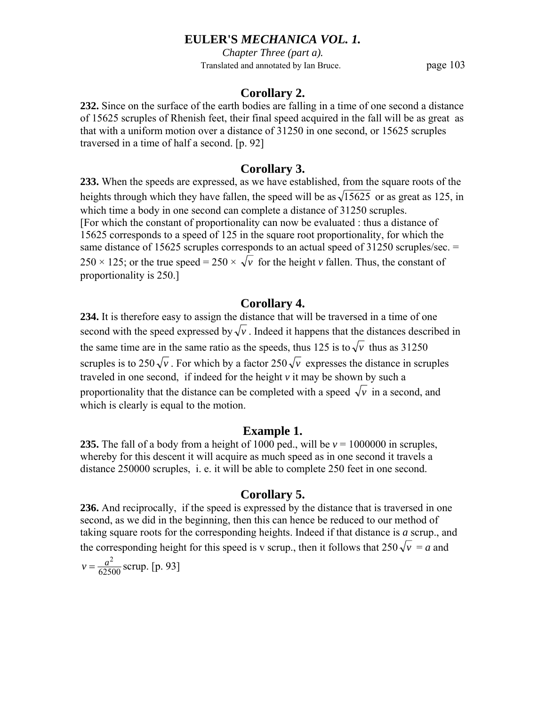*Chapter Three (part a).* Translated and annotated by Ian Bruce. page 103

# **Corollary 2.**

**232.** Since on the surface of the earth bodies are falling in a time of one second a distance of 15625 scruples of Rhenish feet, their final speed acquired in the fall will be as great as that with a uniform motion over a distance of 31250 in one second, or 15625 scruples traversed in a time of half a second. [p. 92]

# **Corollary 3.**

**233.** When the speeds are expressed, as we have established, from the square roots of the heights through which they have fallen, the speed will be as  $\sqrt{15625}$  or as great as 125, in which time a body in one second can complete a distance of 31250 scruples. [For which the constant of proportionality can now be evaluated : thus a distance of 15625 corresponds to a speed of 125 in the square root proportionality, for which the same distance of 15625 scruples corresponds to an actual speed of 31250 scruples/sec. = 250  $\times$  125; or the true speed = 250  $\times \sqrt{\nu}$  for the height  $\nu$  fallen. Thus, the constant of proportionality is 250.]

# **Corollary 4.**

**234.** It is therefore easy to assign the distance that will be traversed in a time of one second with the speed expressed by  $\sqrt{v}$ . Indeed it happens that the distances described in the same time are in the same ratio as the speeds, thus 125 is to  $\sqrt{\nu}$  thus as 31250 scruples is to  $250\sqrt{v}$ . For which by a factor  $250\sqrt{v}$  expresses the distance in scruples traveled in one second, if indeed for the height *v* it may be shown by such a proportionality that the distance can be completed with a speed  $\sqrt{v}$  in a second, and which is clearly is equal to the motion.

# **Example 1.**

**235.** The fall of a body from a height of 1000 ped., will be  $v = 1000000$  in scruples, whereby for this descent it will acquire as much speed as in one second it travels a distance 250000 scruples, i. e. it will be able to complete 250 feet in one second.

# **Corollary 5.**

**236.** And reciprocally, if the speed is expressed by the distance that is traversed in one second, as we did in the beginning, then this can hence be reduced to our method of taking square roots for the corresponding heights. Indeed if that distance is *a* scrup., and the corresponding height for this speed is v scrup., then it follows that  $250\sqrt{v} = a$  and

 $v = \frac{a^2}{62500}$  scrup. [p. 93]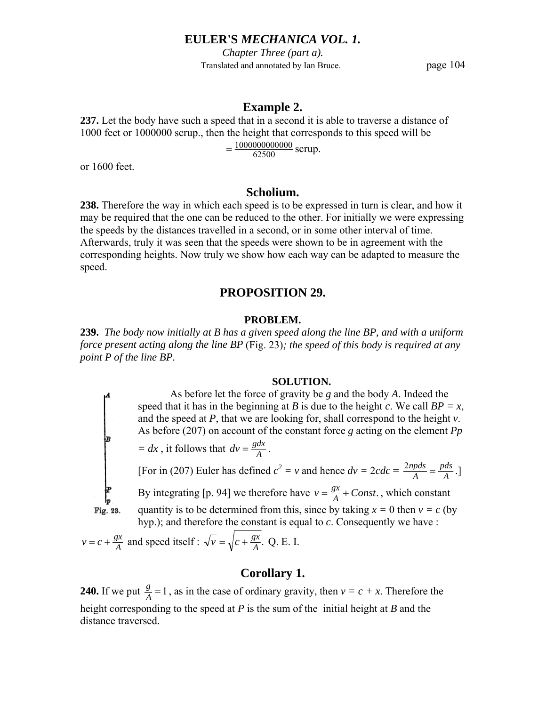*Chapter Three (part a).* Translated and annotated by Ian Bruce. page 104

### **Example 2.**

**237.** Let the body have such a speed that in a second it is able to traverse a distance of 1000 feet or 1000000 scrup., then the height that corresponds to this speed will be

 $=\frac{1000000000000}{62500}$  scrup.

or 1600 feet.

# **Scholium.**

**238.** Therefore the way in which each speed is to be expressed in turn is clear, and how it may be required that the one can be reduced to the other. For initially we were expressing the speeds by the distances travelled in a second, or in some other interval of time. Afterwards, truly it was seen that the speeds were shown to be in agreement with the corresponding heights. Now truly we show how each way can be adapted to measure the speed.

# **PROPOSITION 29.**

#### **PROBLEM.**

**239.** *The body now initially at B has a given speed along the line BP, and with a uniform force present acting along the line BP* (Fig. 23)*; the speed of this body is required at any point P of the line BP.* 

#### **SOLUTION.**

 As before let the force of gravity be *g* and the body *A*. Indeed the speed that it has in the beginning at *B* is due to the height *c*. We call  $BP = x$ , and the speed at *P*, that we are looking for, shall correspond to the height *v*. As before (207) on account of the constant force *g* acting on the element *Pp* 

$$
= dx
$$
, it follows that  $dv = \frac{gdx}{A}$ .

Fig. 23.

[For in (207) Euler has defined  $c^2 = v$  and hence  $dv = 2cdc = \frac{2npds}{A} = \frac{pds}{A}$  $\frac{2npds}{A} = \frac{pds}{A}.$ By integrating [p. 94] we therefore have  $v = \frac{gx}{A} + Const.$ , which constant quantity is to be determined from this, since by taking  $x = 0$  then  $v = c$  (by hyp.); and therefore the constant is equal to *c*. Consequently we have :

 $v = c + \frac{gx}{A}$  and speed itself :  $\sqrt{v} = \sqrt{c + \frac{gx}{A}}$ . Q. E. I.

# **Corollary 1.**

**240.** If we put  $\frac{g}{A} = 1$ , as in the case of ordinary gravity, then  $v = c + x$ . Therefore the height corresponding to the speed at *P* is the sum of the initial height at *B* and the distance traversed.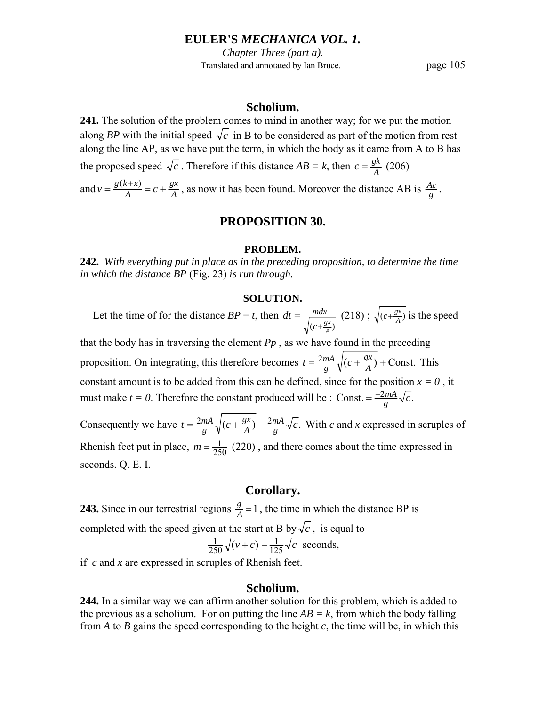*Chapter Three (part a).* Translated and annotated by Ian Bruce. page 105

## **Scholium.**

**241.** The solution of the problem comes to mind in another way; for we put the motion along *BP* with the initial speed  $\sqrt{c}$  in B to be considered as part of the motion from rest along the line AP, as we have put the term, in which the body as it came from A to B has the proposed speed  $\sqrt{c}$ . Therefore if this distance  $AB = k$ , then  $c = \frac{gk}{A}$  (206)

and  $v = \frac{g(k+x)}{A} = c + \frac{gx}{A}$ *A*  $v = \frac{g(k+x)}{A} = c + \frac{gx}{A}$ , as now it has been found. Moreover the distance AB is  $\frac{Ac}{g}$ .

# **PROPOSITION 30.**

#### **PROBLEM.**

**242.** *With everything put in place as in the preceding proposition, to determine the time in which the distance BP* (Fig. 23) *is run through.* 

#### **SOLUTION.**

Let the time of for the distance  $BP = t$ , then  $(c + \frac{gx}{A})$  $dt = \frac{mdx}{l}$  $=\frac{m dx}{\sqrt{(c+\frac{gx}{A})}}$  (218);  $\sqrt{(c+\frac{gx}{A})}$  is the speed

that the body has in traversing the element  $P_p$ , as we have found in the preceding proposition. On integrating, this therefore becomes  $t = \frac{2mA}{g}\sqrt{(c + \frac{gx}{A}) +$ Const.  $t = \frac{2mA}{g}\sqrt{(c + \frac{gx}{A}) +$ Const. This constant amount is to be added from this can be defined, since for the position  $x = 0$ , it must make *t* = 0. Therefore the constant produced will be : Const. =  $\frac{-2mA}{g}\sqrt{c}$ .

Consequently we have  $t = \frac{2mA}{g}\sqrt{(c + \frac{gx}{A}) - \frac{2mA}{g}\sqrt{c}}$ . *mA A gx*  $=\frac{2mA}{g}\sqrt{(c+\frac{gx}{A})-\frac{2mA}{g}\sqrt{c}}$ . With *c* and *x* expressed in scruples of Rhenish feet put in place,  $m = \frac{1}{250}$  (220), and there comes about the time expressed in seconds. Q. E. I.

### **Corollary.**

**243.** Since in our terrestrial regions  $\frac{g}{A} = 1$ , the time in which the distance BP is completed with the speed given at the start at B by  $\sqrt{c}$ , is equal to  $\overline{v+c}$ ) –  $\frac{1}{125}\sqrt{c}$  $\frac{1}{250}\sqrt{(v+c)} - \frac{1}{125}\sqrt{c}$  seconds,

if *c* and *x* are expressed in scruples of Rhenish feet.

# **Scholium.**

**244.** In a similar way we can affirm another solution for this problem, which is added to the previous as a scholium. For on putting the line  $AB = k$ , from which the body falling from *A* to *B* gains the speed corresponding to the height *c*, the time will be, in which this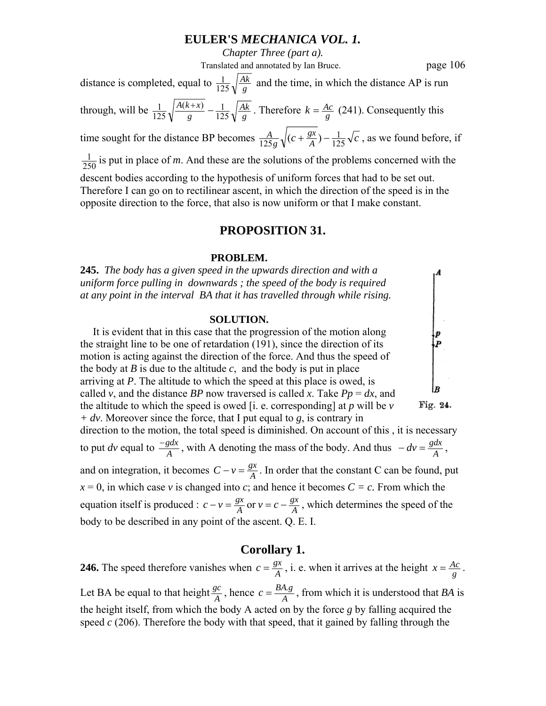*Chapter Three (part a).*

Translated and annotated by Ian Bruce. page 106

distance is completed, equal to  $\frac{1}{125}\sqrt{\frac{Ak}{g}}$  $\frac{1}{125}\sqrt{\frac{Ak}{g}}$  and the time, in which the distance AP is run through, will be  $\frac{1}{125} \sqrt{\frac{A(k+x)}{g}} - \frac{1}{125} \sqrt{\frac{Ak}{g}}$ *g*  $A(k+x)$ 125  $\frac{(k+x)}{2} - 1$  $\frac{1}{125} \sqrt{\frac{A(k+x)}{g}} - \frac{1}{125} \sqrt{\frac{Ak}{g}}$ . Therefore  $k = \frac{Ac}{g}$  (241). Consequently this *A*

time sought for the distance BP becomes  $\frac{A}{125g} \sqrt{(c + \frac{gx}{A}) - \frac{1}{125} \sqrt{c}}$ *g* 125  $\frac{A}{125g}\sqrt{(c+\frac{gx}{A})-\frac{1}{125}\sqrt{c}}$ , as we found before, if

 $\frac{1}{250}$  is put in place of *m*. And these are the solutions of the problems concerned with the

descent bodies according to the hypothesis of uniform forces that had to be set out. Therefore I can go on to rectilinear ascent, in which the direction of the speed is in the opposite direction to the force, that also is now uniform or that I make constant.

# **PROPOSITION 31.**

#### **PROBLEM.**

**245.** *The body has a given speed in the upwards direction and with a uniform force pulling in downwards ; the speed of the body is required at any point in the interval BA that it has travelled through while rising.* 

#### **SOLUTION.**

 It is evident that in this case that the progression of the motion along the straight line to be one of retardation (191), since the direction of its motion is acting against the direction of the force. And thus the speed of the body at *B* is due to the altitude *c*, and the body is put in place arriving at *P*. The altitude to which the speed at this place is owed, is called *v*, and the distance *BP* now traversed is called *x*. Take  $Pp = dx$ , and the altitude to which the speed is owed [i. e. corresponding] at *p* will be *v*  Fig. 24. *+ dv*. Moreover since the force, that I put equal to *g*, is contrary in direction to the motion, the total speed is diminished. On account of this , it is necessary to put *dv* equal to  $\frac{-gdx}{A}$ , with A denoting the mass of the body. And thus  $-dv = \frac{gdx}{A}$ , and on integration, it becomes  $C - v = \frac{gx}{A}$ . In order that the constant C can be found, put  $x = 0$ , in which case *v* is changed into *c*; and hence it becomes  $C = c$ . From which the equation itself is produced :  $c - v = \frac{gx}{A}$  or  $v = c - \frac{gx}{A}$  $c - v = \frac{gx}{A}$  or  $v = c - \frac{gx}{A}$ , which determines the speed of the body to be described in any point of the ascent. Q. E. I.

## **Corollary 1.**

**246.** The speed therefore vanishes when  $c = \frac{gx}{A}$ , i. e. when it arrives at the height  $x = \frac{Ac}{g}$ . Let BA be equal to that height  $\frac{gc}{A}$ , hence  $c = \frac{BA.g}{A}$ , from which it is understood that *BA* is the height itself, from which the body A acted on by the force *g* by falling acquired the speed *c* (206). Therefore the body with that speed, that it gained by falling through the

 $\begin{array}{c} \begin{array}{c} p \\ p \end{array} \end{array}$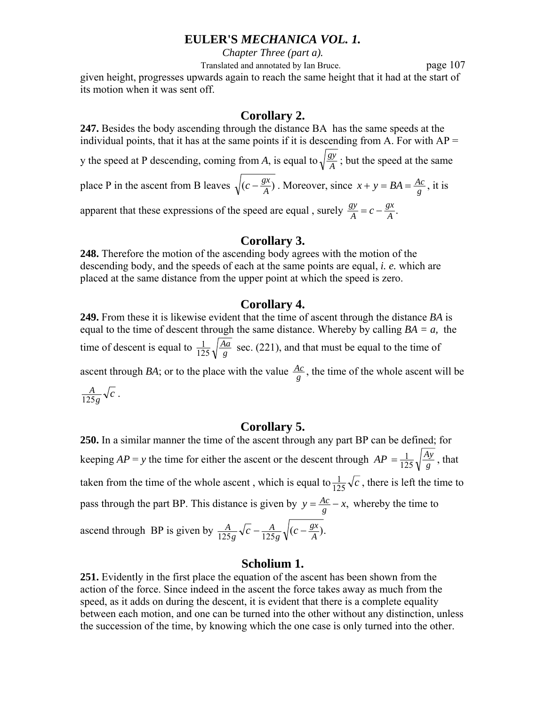*Chapter Three (part a).*

Translated and annotated by Ian Bruce. page 107 given height, progresses upwards again to reach the same height that it had at the start of its motion when it was sent off.

# **Corollary 2.**

**247.** Besides the body ascending through the distance BA has the same speeds at the individual points, that it has at the same points if it is descending from A. For with  $AP =$ y the speed at P descending, coming from *A*, is equal to  $\sqrt{\frac{gy}{A}}$ ; but the speed at the same place P in the ascent from B leaves  $\sqrt{(c - \frac{gx}{A})}$ . Moreover, since  $x + y = BA = \frac{Ac}{g}$ , it is apparent that these expressions of the speed are equal, surely  $\frac{gy}{A} = c - \frac{gx}{A}$ .  $\frac{gy}{A} = c -$ 

# **Corollary 3.**

**248.** Therefore the motion of the ascending body agrees with the motion of the descending body, and the speeds of each at the same points are equal, *i. e.* which are placed at the same distance from the upper point at which the speed is zero.

# **Corollary 4.**

**249.** From these it is likewise evident that the time of ascent through the distance *BA* is equal to the time of descent through the same distance. Whereby by calling  $BA = a$ , the time of descent is equal to  $\frac{1}{125} \sqrt{\frac{Aa}{g}}$  $\frac{1}{125}\sqrt{\frac{Aa}{g}}$  sec. (221), and that must be equal to the time of ascent through *BA*; or to the place with the value  $\frac{Ac}{g}$ , the time of the whole ascent will be  $\frac{1}{g} \sqrt{c}$  $\frac{A}{125g}\sqrt{c}$ .

# **Corollary 5.**

**250.** In a similar manner the time of the ascent through any part BP can be defined; for keeping  $AP = y$  the time for either the ascent or the descent through  $AP = \frac{1}{125} \sqrt{\frac{A}{g}}$ *Ay*  $=\frac{1}{125}\sqrt{\frac{Ay}{g}}$ , that taken from the time of the whole ascent, which is equal to  $\frac{1}{125}\sqrt{c}$ , there is left the time to pass through the part BP. This distance is given by  $y = \frac{Ac}{g} - x$ , whereby the time to ascend through BP is given by  $\frac{A}{125g} \sqrt{c} - \frac{A}{125g} \sqrt{(c - \frac{gx}{A})}$ . *g A*  $\frac{A}{25g}$  √c −  $\frac{A}{125g}$  √(c −

# **Scholium 1.**

**251.** Evidently in the first place the equation of the ascent has been shown from the action of the force. Since indeed in the ascent the force takes away as much from the speed, as it adds on during the descent, it is evident that there is a complete equality between each motion, and one can be turned into the other without any distinction, unless the succession of the time, by knowing which the one case is only turned into the other.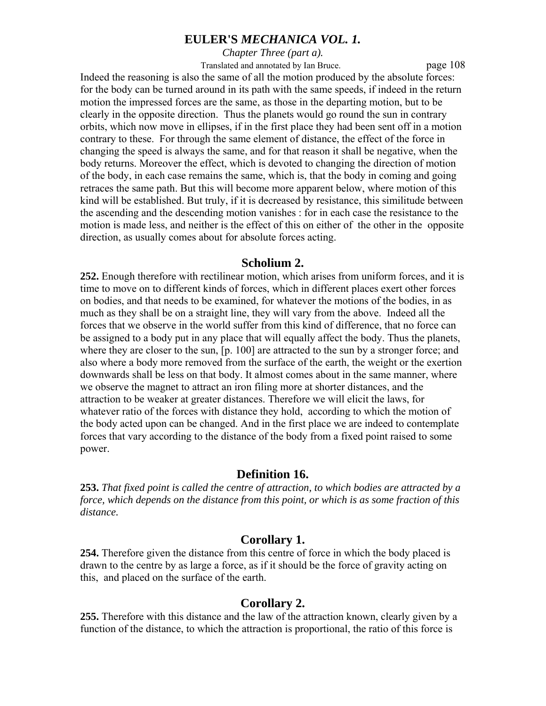*Chapter Three (part a).*

Translated and annotated by Ian Bruce. page 108

Indeed the reasoning is also the same of all the motion produced by the absolute forces: for the body can be turned around in its path with the same speeds, if indeed in the return motion the impressed forces are the same, as those in the departing motion, but to be clearly in the opposite direction. Thus the planets would go round the sun in contrary orbits, which now move in ellipses, if in the first place they had been sent off in a motion contrary to these. For through the same element of distance, the effect of the force in changing the speed is always the same, and for that reason it shall be negative, when the body returns. Moreover the effect, which is devoted to changing the direction of motion of the body, in each case remains the same, which is, that the body in coming and going retraces the same path. But this will become more apparent below, where motion of this kind will be established. But truly, if it is decreased by resistance, this similitude between the ascending and the descending motion vanishes : for in each case the resistance to the motion is made less, and neither is the effect of this on either of the other in the opposite direction, as usually comes about for absolute forces acting.

#### **Scholium 2.**

**252.** Enough therefore with rectilinear motion, which arises from uniform forces, and it is time to move on to different kinds of forces, which in different places exert other forces on bodies, and that needs to be examined, for whatever the motions of the bodies, in as much as they shall be on a straight line, they will vary from the above. Indeed all the forces that we observe in the world suffer from this kind of difference, that no force can be assigned to a body put in any place that will equally affect the body. Thus the planets, where they are closer to the sun. [p. 100] are attracted to the sun by a stronger force; and also where a body more removed from the surface of the earth, the weight or the exertion downwards shall be less on that body. It almost comes about in the same manner, where we observe the magnet to attract an iron filing more at shorter distances, and the attraction to be weaker at greater distances. Therefore we will elicit the laws, for whatever ratio of the forces with distance they hold, according to which the motion of the body acted upon can be changed. And in the first place we are indeed to contemplate forces that vary according to the distance of the body from a fixed point raised to some power.

### **Definition 16.**

**253.** *That fixed point is called the centre of attraction, to which bodies are attracted by a force, which depends on the distance from this point, or which is as some fraction of this distance.* 

## **Corollary 1.**

**254.** Therefore given the distance from this centre of force in which the body placed is drawn to the centre by as large a force, as if it should be the force of gravity acting on this, and placed on the surface of the earth.

### **Corollary 2.**

**255.** Therefore with this distance and the law of the attraction known, clearly given by a function of the distance, to which the attraction is proportional, the ratio of this force is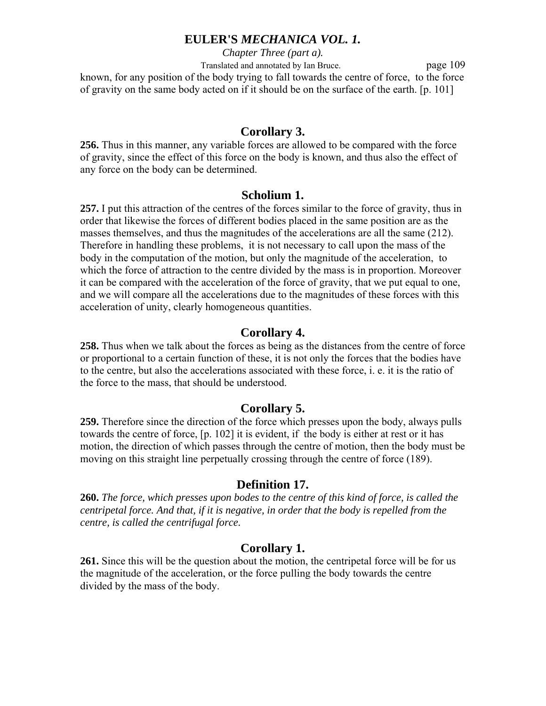*Chapter Three (part a).* Translated and annotated by Ian Bruce. page 109 known, for any position of the body trying to fall towards the centre of force, to the force of gravity on the same body acted on if it should be on the surface of the earth. [p. 101]

# **Corollary 3.**

**256.** Thus in this manner, any variable forces are allowed to be compared with the force of gravity, since the effect of this force on the body is known, and thus also the effect of any force on the body can be determined.

### **Scholium 1.**

**257.** I put this attraction of the centres of the forces similar to the force of gravity, thus in order that likewise the forces of different bodies placed in the same position are as the masses themselves, and thus the magnitudes of the accelerations are all the same (212). Therefore in handling these problems, it is not necessary to call upon the mass of the body in the computation of the motion, but only the magnitude of the acceleration, to which the force of attraction to the centre divided by the mass is in proportion. Moreover it can be compared with the acceleration of the force of gravity, that we put equal to one, and we will compare all the accelerations due to the magnitudes of these forces with this acceleration of unity, clearly homogeneous quantities.

## **Corollary 4.**

**258.** Thus when we talk about the forces as being as the distances from the centre of force or proportional to a certain function of these, it is not only the forces that the bodies have to the centre, but also the accelerations associated with these force, i. e. it is the ratio of the force to the mass, that should be understood.

# **Corollary 5.**

**259.** Therefore since the direction of the force which presses upon the body, always pulls towards the centre of force, [p. 102] it is evident, if the body is either at rest or it has motion, the direction of which passes through the centre of motion, then the body must be moving on this straight line perpetually crossing through the centre of force (189).

### **Definition 17.**

**260.** *The force, which presses upon bodes to the centre of this kind of force, is called the centripetal force. And that, if it is negative, in order that the body is repelled from the centre, is called the centrifugal force.* 

### **Corollary 1.**

**261.** Since this will be the question about the motion, the centripetal force will be for us the magnitude of the acceleration, or the force pulling the body towards the centre divided by the mass of the body.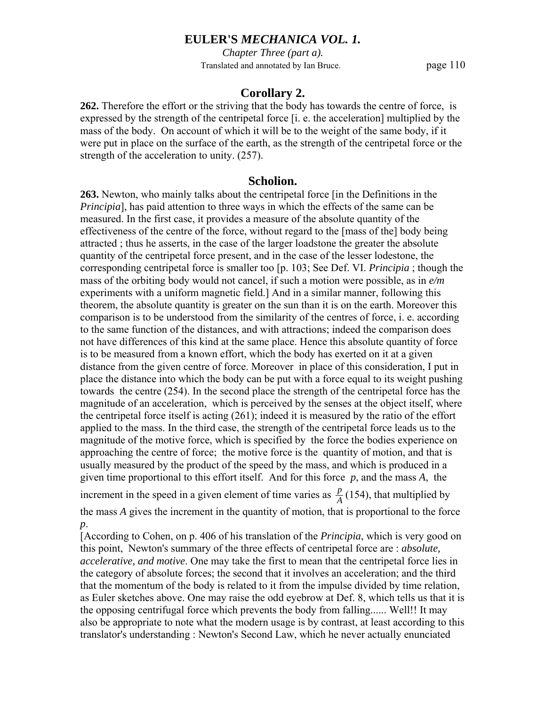*Chapter Three (part a).* Translated and annotated by Ian Bruce. page 110

## **Corollary 2.**

**262.** Therefore the effort or the striving that the body has towards the centre of force, is expressed by the strength of the centripetal force [i. e. the acceleration] multiplied by the mass of the body. On account of which it will be to the weight of the same body, if it were put in place on the surface of the earth, as the strength of the centripetal force or the strength of the acceleration to unity. (257).

#### **Scholion.**

**263.** Newton, who mainly talks about the centripetal force [in the Definitions in the *Principia*], has paid attention to three ways in which the effects of the same can be measured. In the first case, it provides a measure of the absolute quantity of the effectiveness of the centre of the force, without regard to the [mass of the] body being attracted ; thus he asserts, in the case of the larger loadstone the greater the absolute quantity of the centripetal force present, and in the case of the lesser lodestone, the corresponding centripetal force is smaller too [p. 103; See Def. VI. *Principia* ; though the mass of the orbiting body would not cancel, if such a motion were possible, as in *e/m* experiments with a uniform magnetic field.] And in a similar manner, following this theorem, the absolute quantity is greater on the sun than it is on the earth. Moreover this comparison is to be understood from the similarity of the centres of force, i. e. according to the same function of the distances, and with attractions; indeed the comparison does not have differences of this kind at the same place. Hence this absolute quantity of force is to be measured from a known effort, which the body has exerted on it at a given distance from the given centre of force. Moreover in place of this consideration, I put in place the distance into which the body can be put with a force equal to its weight pushing towards the centre (254). In the second place the strength of the centripetal force has the magnitude of an acceleration, which is perceived by the senses at the object itself, where the centripetal force itself is acting (261); indeed it is measured by the ratio of the effort applied to the mass. In the third case, the strength of the centripetal force leads us to the magnitude of the motive force, which is specified by the force the bodies experience on approaching the centre of force; the motive force is the quantity of motion, and that is usually measured by the product of the speed by the mass, and which is produced in a given time proportional to this effort itself. And for this force *p*, and the mass *A*, the

increment in the speed in a given element of time varies as  $\frac{p}{A}(154)$ , that multiplied by the mass *A* gives the increment in the quantity of motion, that is proportional to the force

*p*.

[According to Cohen, on p. 406 of his translation of the *Principia*, which is very good on this point, Newton's summary of the three effects of centripetal force are : *absolute, accelerative, and motive*. One may take the first to mean that the centripetal force lies in the category of absolute forces; the second that it involves an acceleration; and the third that the momentum of the body is related to it from the impulse divided by time relation, as Euler sketches above. One may raise the odd eyebrow at Def. 8, which tells us that it is the opposing centrifugal force which prevents the body from falling...... Well!! It may also be appropriate to note what the modern usage is by contrast, at least according to this translator's understanding : Newton's Second Law, which he never actually enunciated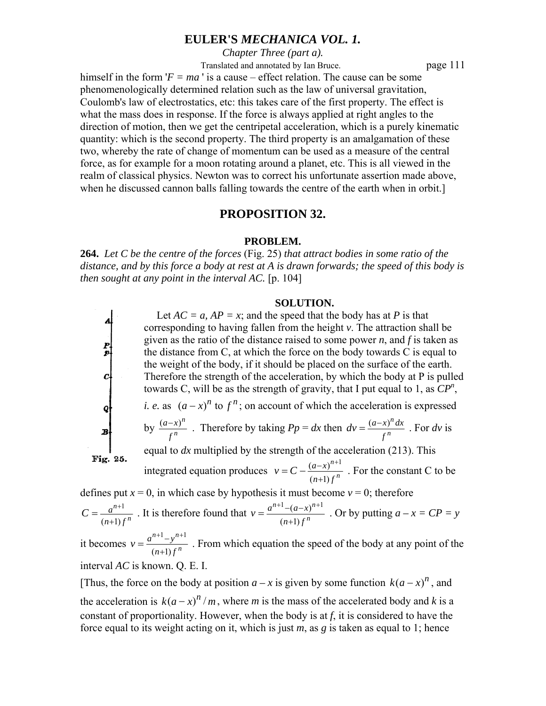*Chapter Three (part a).*

Translated and annotated by Ian Bruce. page 111

himself in the form  $'F = ma'$  is a cause – effect relation. The cause can be some phenomenologically determined relation such as the law of universal gravitation, Coulomb's law of electrostatics, etc: this takes care of the first property. The effect is what the mass does in response. If the force is always applied at right angles to the direction of motion, then we get the centripetal acceleration, which is a purely kinematic quantity: which is the second property. The third property is an amalgamation of these two, whereby the rate of change of momentum can be used as a measure of the central force, as for example for a moon rotating around a planet, etc. This is all viewed in the realm of classical physics. Newton was to correct his unfortunate assertion made above, when he discussed cannon balls falling towards the centre of the earth when in orbit.]

### **PROPOSITION 32.**

#### **PROBLEM.**

**264.** *Let C be the centre of the forces* (Fig. 25) *that attract bodies in some ratio of the distance, and by this force a body at rest at A is drawn forwards; the speed of this body is then sought at any point in the interval AC.* [p. 104]

#### **SOLUTION.**

Let  $AC = a$ ,  $AP = x$ ; and the speed that the body has at *P* is that corresponding to having fallen from the height *v*. The attraction shall be given as the ratio of the distance raised to some power *n*, and *f* is taken as  $\frac{p}{p}$ the distance from C, at which the force on the body towards C is equal to the weight of the body, if it should be placed on the surface of the earth.  $c$ Therefore the strength of the acceleration, by which the body at P is pulled towards C, will be as the strength of gravity, that I put equal to 1, as  $\mathbb{CP}^n$ , *i. e.* as  $(a-x)^n$  to  $f^n$ ; on account of which the acceleration is expressed  $\boldsymbol{q}$ *n n* by  $\frac{(a-x)}{f}$  $\frac{a-x}{b}$ . Therefore by taking  $Pp = dx$  then  $dv = \frac{(a-x)^n}{c^n}$  $dv = \frac{(a-x)^n dx}{x!}$ . For *dv* is  $\boldsymbol{B}$ *f f* equal to *dx* multiplied by the strength of the acceleration (213). This Fig. 25. integrated equation produces  $v = C - \frac{(a-x)^{n+1}}{(n+1)f^n}$  $= C - \frac{(a-x)^{n+1}}{n}$ . For the constant C to be *n*  $v = C - \frac{(a-x)^2}{a-x^2}$ *n*  $n+1$ ) f + defines put  $x = 0$ , in which case by hypothesis it must become  $v = 0$ ; therefore

 $(n+1)$ 1 *n n*  $n+1$ ) f  $C = \frac{a}{a}$ +  $=\frac{a^{n+1}}{a^{n+1}}$ . It is therefore found that  $(n+1)$  $1 - (a - x)^{n+1}$ *n*  $n+1$   $(a, x)^n$  $n+1$ ) f  $v = \frac{a^{n+1} - (a-x)^n}{a-x}$ +  $=\frac{a^{n+1}-(a-x)^{n+1}}{(a-x)^n}$ . Or by putting  $a-x=CP=y$ 

it becomes  $(n+1)$  $1, n+1$ *n*  $n+1, n$  $n+1$ ) f  $v = \frac{a^{n+1}-y}{a}$ +  $=\frac{a^{n+1}-y^{n+1}}{n}$ . From which equation the speed of the body at any point of the interval *AC* is known. Q. E. I.

[Thus, the force on the body at position  $a - x$  is given by some function  $k(a - x)^n$ , and the acceleration is  $k(a-x)^n/m$ , where *m* is the mass of the accelerated body and *k* is a constant of proportionality. However, when the body is at *f*, it is considered to have the force equal to its weight acting on it, which is just *m*, as *g* is taken as equal to 1; hence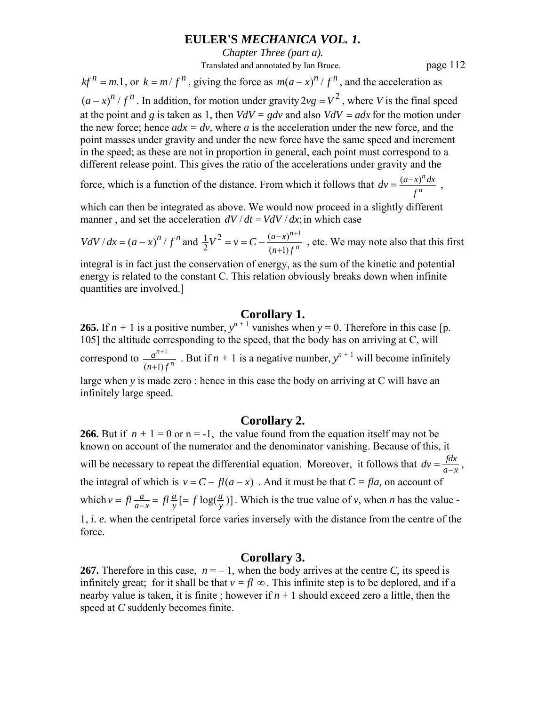*Chapter Three (part a).*

Translated and annotated by Ian Bruce. page 112

 $kf^{n} = m.1$ , or  $k = m/f^{n}$ , giving the force as  $m(a-x)^{n}/f^{n}$ , and the acceleration as  $(a-x)^n / f^n$ . In addition, for motion under gravity 2 $vg = V^2$ , where *V* is the final speed at the point and *g* is taken as 1, then  $VdV = gdv$  and also  $VdV = adx$  for the motion under the new force; hence  $adx = dy$ , where a is the acceleration under the new force, and the point masses under gravity and under the new force have the same speed and increment in the speed; as these are not in proportion in general, each point must correspond to a different release point. This gives the ratio of the accelerations under gravity and the

force, which is a function of the distance. From which it follows that  $dv = \frac{(a-x)}{c^n}$ *n f*  $dv = \frac{(a-x)^n dx}{dx}$ ,

which can then be integrated as above. We would now proceed in a slightly different manner, and set the acceleration  $dV/dt = VdV/dx$ ; in which case

$$
VdV/dx = (a-x)^n / f^n
$$
 and  $\frac{1}{2}V^2 = v = C - \frac{(a-x)^{n+1}}{(n+1)f^n}$ , etc. We may note also that this first

integral is in fact just the conservation of energy, as the sum of the kinetic and potential energy is related to the constant C. This relation obviously breaks down when infinite quantities are involved.]

# **Corollary 1.**

**265.** If  $n + 1$  is a positive number,  $y^{n+1}$  vanishes when  $y = 0$ . Therefore in this case [p. 105] the altitude corresponding to the speed, that the body has on arriving at C, will correspond to  $\frac{a^{n+1}}{(n+1)j}$ *n n*  $n+1$ ) f *a* + <sup>+1</sup> But if  $n + 1$  is a negative number,  $y^{n+1}$  will become infinitely large when *y* is made zero : hence in this case the body on arriving at C will have an infinitely large speed.

### **Corollary 2.**

**266.** But if  $n + 1 = 0$  or  $n = -1$ , the value found from the equation itself may not be known on account of the numerator and the denominator vanishing. Because of this, it will be necessary to repeat the differential equation. Moreover, it follows that  $dv = \frac{fdx}{d-x}$ , the integral of which is  $v = C - fl(a - x)$ . And it must be that  $C = fla$ , on account of which  $v = fl \frac{a}{a-x} = fl \frac{a}{y} = f \log(\frac{a}{y})$ *y a*  $\nu = f \frac{a}{a-x} = f \frac{a}{y} = f \log(\frac{a}{y})$ . Which is the true value of *v*, when *n* has the value *-*1, *i. e.* when the centripetal force varies inversely with the distance from the centre of the force.

# **Corollary 3.**

**267.** Therefore in this case,  $n = -1$ , when the body arrives at the centre *C*, its speed is infinitely great; for it shall be that  $v = fl \infty$ . This infinite step is to be deplored, and if a nearby value is taken, it is finite; however if  $n + 1$  should exceed zero a little, then the speed at *C* suddenly becomes finite.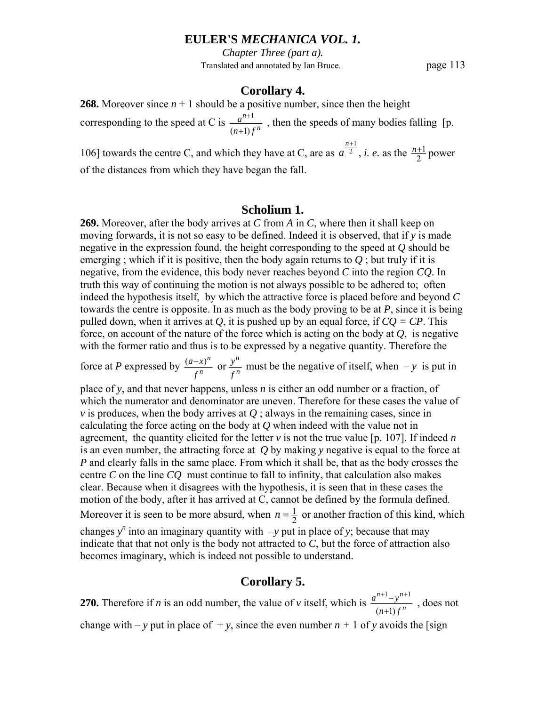*Chapter Three (part a).* Translated and annotated by Ian Bruce. page 113

### **Corollary 4.**

**268.** Moreover since  $n + 1$  should be a positive number, since then the height *n a*

corresponding to the speed at C is  $\frac{a^{n+1}}{(n+1)j}$ *n*  $n+1$ ) f +  $\frac{+1}{2}$ , then the speeds of many bodies falling [p.

106] towards the centre C, and which they have at C, are as  $a<sup>2</sup>$ *n*+1  $a^{\frac{n+1}{2}}$ , *i. e.* as the  $\frac{n+1}{2}$  power of the distances from which they have began the fall.

### **Scholium 1.**

**269.** Moreover, after the body arrives at *C* from *A* in *C*, where then it shall keep on moving forwards, it is not so easy to be defined. Indeed it is observed, that if *y* is made negative in the expression found, the height corresponding to the speed at *Q* should be emerging; which if it is positive, then the body again returns to  $Q$ ; but truly if it is negative, from the evidence, this body never reaches beyond *C* into the region *CQ*. In truth this way of continuing the motion is not always possible to be adhered to; often indeed the hypothesis itself, by which the attractive force is placed before and beyond *C* towards the centre is opposite. In as much as the body proving to be at *P*, since it is being pulled down, when it arrives at *Q*, it is pushed up by an equal force, if  $CO = CP$ . This force, on account of the nature of the force which is acting on the body at *Q*, is negative with the former ratio and thus is to be expressed by a negative quantity. Therefore the

force at *P* expressed by  $\frac{(a-x)^n}{f^n}$  or  $\frac{y^n}{f^n}$ *n n f y f*  $\frac{(a-x)^n}{n}$  or  $\frac{y^n}{n}$  must be the negative of itself, when – *y* is put in

place of *y*, and that never happens, unless *n* is either an odd number or a fraction, of which the numerator and denominator are uneven. Therefore for these cases the value of *v* is produces, when the body arrives at  $Q$ ; always in the remaining cases, since in calculating the force acting on the body at *Q* when indeed with the value not in agreement, the quantity elicited for the letter *v* is not the true value [p. 107]. If indeed *n* is an even number, the attracting force at *Q* by making *y* negative is equal to the force at *P* and clearly falls in the same place. From which it shall be, that as the body crosses the centre *C* on the line *CQ* must continue to fall to infinity, that calculation also makes clear. Because when it disagrees with the hypothesis, it is seen that in these cases the motion of the body, after it has arrived at C, cannot be defined by the formula defined. Moreover it is seen to be more absurd, when  $n = \frac{1}{2}$  or another fraction of this kind, which changes  $y^n$  into an imaginary quantity with  $-y$  put in place of *y*; because that may indicate that that not only is the body not attracted to *C*, but the force of attraction also becomes imaginary, which is indeed not possible to understand.

## **Corollary 5.**

**270.** Therefore if *n* is an odd number, the value of *v* itself, which is  $\frac{a^{n+1}-y^{n+1}}{(n+1)f^n}$ *n*  $n+1$ ,  $n$  $n+1$ ) f  $a^{n+1}-y$ +  $\frac{+1-y^{n+1}}{n}$ , does not change with – *y* put in place of  $+$ *y*, since the even number *n* + 1 of *y* avoids the [sign]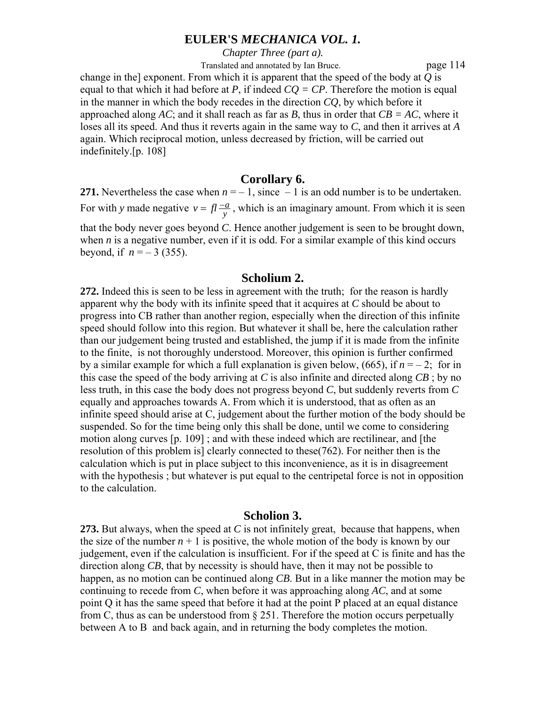*Chapter Three (part a).*

Translated and annotated by Ian Bruce. page 114

change in the] exponent. From which it is apparent that the speed of the body at *Q* is equal to that which it had before at *P*, if indeed  $CQ = CP$ . Therefore the motion is equal in the manner in which the body recedes in the direction *CQ*, by which before it approached along *AC*; and it shall reach as far as *B*, thus in order that  $CB = AC$ , where it loses all its speed. And thus it reverts again in the same way to *C*, and then it arrives at *A* again. Which reciprocal motion, unless decreased by friction, will be carried out indefinitely.[p. 108]

# **Corollary 6.**

**271.** Nevertheless the case when  $n = -1$ , since  $-1$  is an odd number is to be undertaken. For with *y* made negative  $v = fl \frac{-a}{y}$ , which is an imaginary amount. From which it is seen that the body never goes beyond *C*. Hence another judgement is seen to be brought down, when  $n$  is a negative number, even if it is odd. For a similar example of this kind occurs beyond, if  $n = -3$  (355).

## **Scholium 2.**

**272.** Indeed this is seen to be less in agreement with the truth; for the reason is hardly apparent why the body with its infinite speed that it acquires at *C* should be about to progress into CB rather than another region, especially when the direction of this infinite speed should follow into this region. But whatever it shall be, here the calculation rather than our judgement being trusted and established, the jump if it is made from the infinite to the finite, is not thoroughly understood. Moreover, this opinion is further confirmed by a similar example for which a full explanation is given below, (665), if  $n = -2$ ; for in this case the speed of the body arriving at *C* is also infinite and directed along *CB* ; by no less truth, in this case the body does not progress beyond *C*, but suddenly reverts from *C* equally and approaches towards A. From which it is understood, that as often as an infinite speed should arise at C, judgement about the further motion of the body should be suspended. So for the time being only this shall be done, until we come to considering motion along curves [p. 109] ; and with these indeed which are rectilinear, and [the resolution of this problem is] clearly connected to these(762). For neither then is the calculation which is put in place subject to this inconvenience, as it is in disagreement with the hypothesis; but whatever is put equal to the centripetal force is not in opposition to the calculation.

## **Scholion 3.**

**273.** But always, when the speed at *C* is not infinitely great, because that happens, when the size of the number  $n + 1$  is positive, the whole motion of the body is known by our judgement, even if the calculation is insufficient. For if the speed at C is finite and has the direction along *CB*, that by necessity is should have, then it may not be possible to happen, as no motion can be continued along *CB*. But in a like manner the motion may be continuing to recede from *C*, when before it was approaching along *AC*, and at some point Q it has the same speed that before it had at the point P placed at an equal distance from C, thus as can be understood from  $\S 251$ . Therefore the motion occurs perpetually between A to B and back again, and in returning the body completes the motion.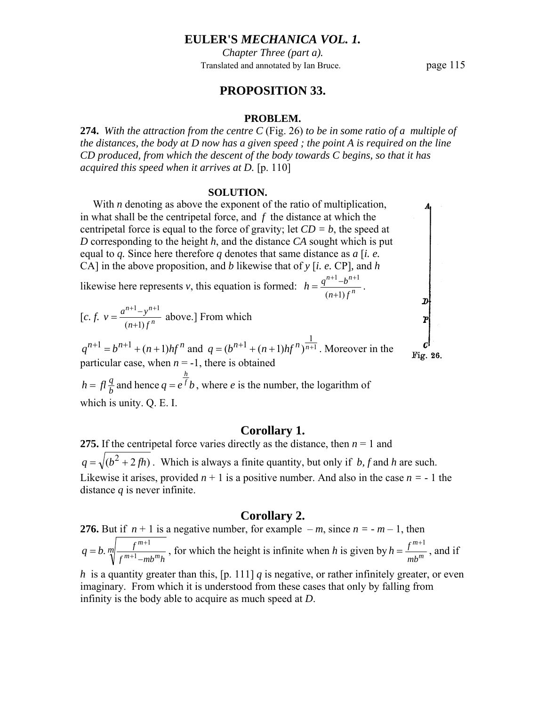*Chapter Three (part a).* Translated and annotated by Ian Bruce. page 115

# **PROPOSITION 33.**

#### **PROBLEM.**

**274.** *With the attraction from the centre C* (Fig. 26) *to be in some ratio of a multiple of the distances, the body at D now has a given speed ; the point A is required on the line CD produced, from which the descent of the body towards C begins, so that it has acquired this speed when it arrives at D.* [p. 110]

#### **SOLUTION.**

With *n* denoting as above the exponent of the ratio of multiplication, in what shall be the centripetal force, and *f* the distance at which the centripetal force is equal to the force of gravity; let  $CD = b$ , the speed at  $\begin{array}{c}\n\mathbf{D} \\
\mathbf{P}\n\end{array}$ *D* corresponding to the height *h*, and the distance *CA* sought which is put equal to *q.* Since here therefore *q* denotes that same distance as *a* [*i. e.* CA] in the above proposition, and *b* likewise that of *y* [*i. e.* CP]*,* and *h* likewise here represents *v*, this equation is formed:  $h = \frac{q^{n+1} - b^{n+1}}{(n+1) \cdot r^n}$  $=\frac{q^{n+1}-b^{n+1}}{a^{n+1}-b^{n+1}}$ .  $1 \mu^{n+1}$  $h = \frac{q^{n+1}-b}{a}$  $(n+1)$  $n+1$ ) f + [c. f.  $v = \frac{a^{n+1}-y^{n+1}}{(n+1)f^n}$  $=\frac{a^{n+1}-y^{n+1}}{a}$  above.] From which  $n+1, n$  $y = \frac{a^{n+1}-y}{a}$ *n*  $n+1$ ) f +  $q^{n+1} = b^{n+1} + (n+1)hf^n$  and  $q = (b^{n+1} + (n+1)hf^n)^{\frac{1}{n+1}}$ . Moreover in the Fig. 26. particular case, when  $n = -1$ , there is obtained *h*  $f = f l \frac{q}{b}$  and hence  $q = e^{\frac{h}{f}} b$ , where *e* is the number, the logarithm of  $h = f l \frac{q}{h}$  and hence  $q = e^f b$ 

which is unity. Q. E. I.

### **Corollary 1.**

**275.** If the centripetal force varies directly as the distance, then  $n = 1$  and  $q = \sqrt{(b^2 + 2fh)}$ . Which is always a finite quantity, but only if *b*, f and *h* are such. Likewise it arises, provided  $n + 1$  is a positive number. And also in the case  $n = -1$  the distance *q* is never infinite.

### **Corollary 2.**

**276.** But if  $n + 1$  is a negative number, for example  $-m$ , since  $n = -m - 1$ , then *m*  $f^{m+1}$ – $mb^m h$ *f*  $m+1$   $m<sub>h</sub>m$  $q = b$ .  $m \left( \frac{f^{m+1}}{f^{m+1} - mb^m h} \right)$ , for which the height is infinite when *h* is given by  $h = \frac{f^{m+1}}{mb^m}$ *mb*  $h = \frac{f^{m+1}}{f^{m}}$ , and if

*h* is a quantity greater than this,  $[p. 111]$  *q* is negative, or rather infinitely greater, or even imaginary. From which it is understood from these cases that only by falling from infinity is the body able to acquire as much speed at *D*.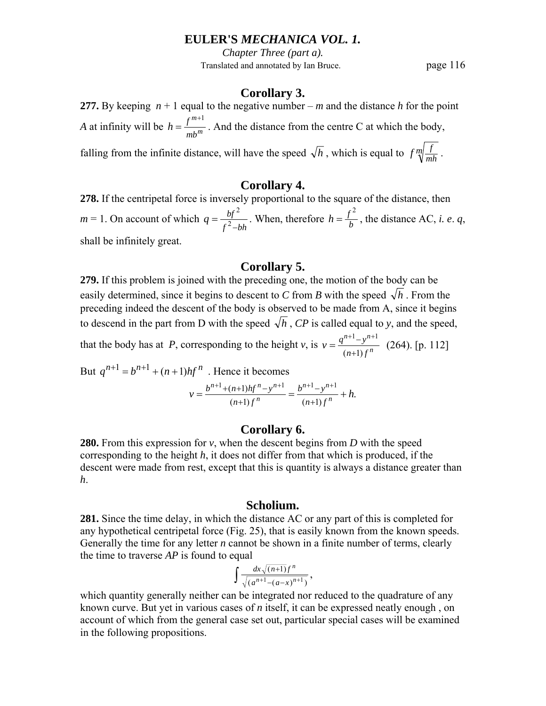*Chapter Three (part a).* Translated and annotated by Ian Bruce. page 116

## **Corollary 3.**

**277.** By keeping  $n + 1$  equal to the negative number – *m* and the distance *h* for the point *A* at infinity will be  $h = \frac{f^{m+1}}{m b^m}$ *mb*  $h = \frac{f^{m+1}}{g}$ . And the distance from the centre C at which the body,

falling from the infinite distance, will have the speed  $\sqrt{h}$ , which is equal to  $f \sqrt[m]{\frac{f}{mh}}$ .

## **Corollary 4.**

**278.** If the centripetal force is inversely proportional to the square of the distance, then *m* = 1. On account of which  $q = \frac{bf^2}{f^2 - bh}$ . When, therefore  $h = \frac{f^2}{b}$ , the distance AC, *i. e. q*, shall be infinitely great.

### **Corollary 5.**

**279.** If this problem is joined with the preceding one, the motion of the body can be easily determined, since it begins to descent to *C* from *B* with the speed  $\sqrt{h}$ . From the preceding indeed the descent of the body is observed to be made from A, since it begins to descend in the part from D with the speed  $\sqrt{h}$ , *CP* is called equal to y, and the speed,  $n+1$ ,  $n$ 

that the body has at *P*, corresponding to the height *v*, is  $v = \frac{q^{n+1} - y^{n+1}}{(n+1)f^n}$ *n*  $n+1$ ) f  $y = \frac{q^{n+1}-y}{a}$ +  $=\frac{q^{n+1}-y^{n+1}}{(264)}$  (264). [p. 112]

But  $q^{n+1} = b^{n+1} + (n+1)hf^n$ . Hence it becomes  $v = \frac{b^{n+1} + (n+1)hf^n - y^{n+1}}{(n+1)f^n} = \frac{b^{n+1} - y^{n+1}}{(n+1)f^n} + h.$ *n*  $n+1$   $(n+1)$   $h \in \mathbb{R}^n$   $n!$  $n+1$ ) f  $b^{n+1} - y$  $n+1$ ) f  $= \frac{b^{n+1} + (n+1)hf^n - y^{n+1}}{h} = \frac{b^{n+1} - y^{n+1}}{h} +$ + − +  $^{+1}$ +(n+1)hf<sup>n</sup>-y<sup>n+1</sup> b<sup>n+1</sup>-y<sup>n+</sup>

### **Corollary 6.**

**280.** From this expression for *v*, when the descent begins from *D* with the speed corresponding to the height *h*, it does not differ from that which is produced, if the descent were made from rest, except that this is quantity is always a distance greater than *h*.

### **Scholium.**

**281.** Since the time delay, in which the distance AC or any part of this is completed for any hypothetical centripetal force (Fig. 25), that is easily known from the known speeds. Generally the time for any letter *n* cannot be shown in a finite number of terms, clearly the time to traverse *AP* is found to equal

$$
\int \frac{dx \sqrt{(n+1)}f^{n}}{\sqrt{(a^{n+1}-(a-x)^{n+1})}},
$$

which quantity generally neither can be integrated nor reduced to the quadrature of any known curve. But yet in various cases of *n* itself, it can be expressed neatly enough , on account of which from the general case set out, particular special cases will be examined in the following propositions.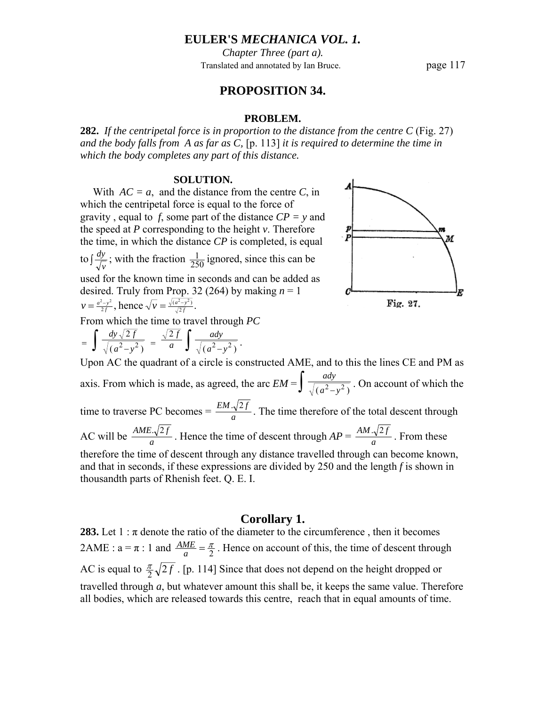*Chapter Three (part a).* Translated and annotated by Ian Bruce. page 117

# **PROPOSITION 34.**

#### **PROBLEM.**

**282.** *If the centripetal force is in proportion to the distance from the centre C* (Fig. 27) *and the body falls from A as far as C,* [p. 113] *it is required to determine the time in which the body completes any part of this distance.* 

#### **SOLUTION.**

With  $AC = a$ , and the distance from the centre *C*, in which the centripetal force is equal to the force of gravity , equal to *f*, some part of the distance *CP = y* and the speed at *P* corresponding to the height *v*. Therefore the time, in which the distance *CP* is completed, is equal

to  $\int \frac{dy}{\sqrt{v}}$ ; with the fraction  $\frac{1}{250}$  ignored, since this can be used for the known time in seconds and can be added as

desired. Truly from Prop. 32 (264) by making  $n = 1$  $\frac{\sqrt{2-y^2}}{2f}$ , hence  $\sqrt{v} = \frac{\sqrt{(a^2-y^2)}}{\sqrt{2f}}$ . 2  $\alpha$  2  $\alpha$ *f*  $\nu = \frac{a^2 - y^2}{2f}$ , hence  $\sqrt{\nu} = \frac{\sqrt{a^2 - y^2}}{\sqrt{2f}}$ 

From which the time to travel through *PC*

$$
= \int \frac{dy\sqrt{2f}}{\sqrt{(a^2-y^2)}} = \frac{\sqrt{2f}}{a} \int \frac{ady}{\sqrt{(a^2-y^2)}}.
$$



Upon AC the quadrant of a circle is constructed AME, and to this the lines CE and PM as axis. From which is made, as agreed, the arc  $EM = \int \frac{ady}{\sqrt{(a^2 - y^2)}}$ . On account of which the time to traverse PC becomes  $=$   $\frac{EM \cdot \sqrt{2f}}{a}$ . The time therefore of the total descent through AC will be  $\frac{AME.\sqrt{2f}}{a}$ . Hence the time of descent through  $AP = \frac{AM.\sqrt{2f}}{a}$ . From these therefore the time of descent through any distance travelled through can become known, and that in seconds, if these expressions are divided by 250 and the length *f* is shown in thousandth parts of Rhenish feet. Q. E. I.

### **Corollary 1.**

**283.** Let  $1 : \pi$  denote the ratio of the diameter to the circumference, then it becomes 2AME :  $a = \pi$  : 1 and  $\frac{AME}{a} = \frac{\pi}{2}$ . Hence on account of this, the time of descent through AC is equal to  $\frac{\pi}{2}$   $\sqrt{2f}$ . [p. 114] Since that does not depend on the height dropped or travelled through *a*, but whatever amount this shall be, it keeps the same value. Therefore all bodies, which are released towards this centre, reach that in equal amounts of time.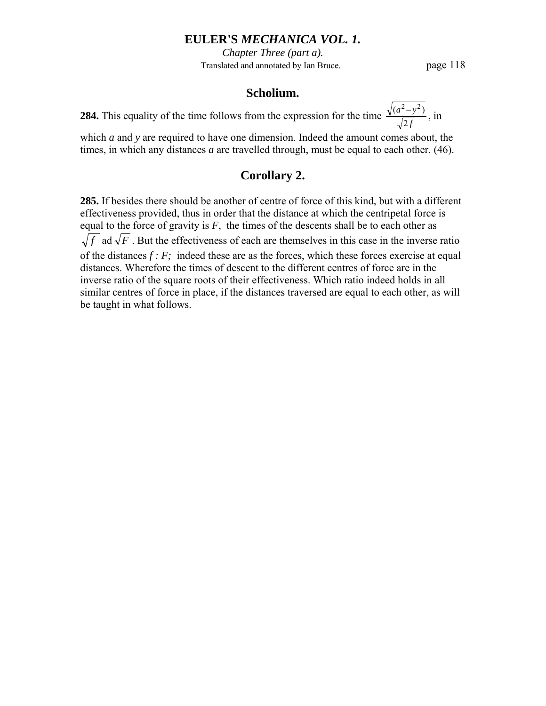*Chapter Three (part a).* Translated and annotated by Ian Bruce. page 118

# **Scholium.**

**284.** This equality of the time follows from the expression for the time  $\frac{\sqrt{(a^2 - y)}}{\sqrt{2f}}$  $\frac{(a^2-y^2)}{\sqrt{2f}}$ , in

which *a* and *y* are required to have one dimension. Indeed the amount comes about, the times, in which any distances *a* are travelled through, must be equal to each other. (46).

# **Corollary 2.**

**285.** If besides there should be another of centre of force of this kind, but with a different effectiveness provided, thus in order that the distance at which the centripetal force is equal to the force of gravity is  $F$ , the times of the descents shall be to each other as  $\sqrt{f}$  ad  $\sqrt{F}$ . But the effectiveness of each are themselves in this case in the inverse ratio of the distances *f : F;* indeed these are as the forces, which these forces exercise at equal distances. Wherefore the times of descent to the different centres of force are in the inverse ratio of the square roots of their effectiveness. Which ratio indeed holds in all similar centres of force in place, if the distances traversed are equal to each other, as will be taught in what follows.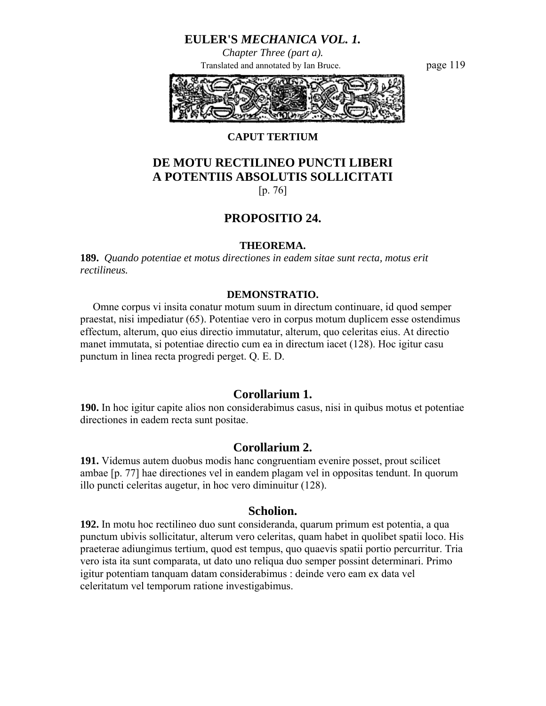*Chapter Three (part a).* Translated and annotated by Ian Bruce. page 119



## **CAPUT TERTIUM**

# **DE MOTU RECTILINEO PUNCTI LIBERI A POTENTIIS ABSOLUTIS SOLLICITATI**

[p. 76]

# **PROPOSITIO 24.**

#### **THEOREMA.**

**189.** *Quando potentiae et motus directiones in eadem sitae sunt recta, motus erit rectilineus.* 

#### **DEMONSTRATIO.**

 Omne corpus vi insita conatur motum suum in directum continuare, id quod semper praestat, nisi impediatur (65). Potentiae vero in corpus motum duplicem esse ostendimus effectum, alterum, quo eius directio immutatur, alterum, quo celeritas eius. At directio manet immutata, si potentiae directio cum ea in directum iacet (128). Hoc igitur casu punctum in linea recta progredi perget. Q. E. D.

# **Corollarium 1.**

**190.** In hoc igitur capite alios non considerabimus casus, nisi in quibus motus et potentiae directiones in eadem recta sunt positae.

## **Corollarium 2.**

**191.** Videmus autem duobus modis hanc congruentiam evenire posset, prout scilicet ambae [p. 77] hae directiones vel in eandem plagam vel in oppositas tendunt. In quorum illo puncti celeritas augetur, in hoc vero diminuitur (128).

### **Scholion.**

**192.** In motu hoc rectilineo duo sunt consideranda, quarum primum est potentia, a qua punctum ubivis sollicitatur, alterum vero celeritas, quam habet in quolibet spatii loco. His praeterae adiungimus tertium, quod est tempus, quo quaevis spatii portio percurritur. Tria vero ista ita sunt comparata, ut dato uno reliqua duo semper possint determinari. Primo igitur potentiam tanquam datam considerabimus : deinde vero eam ex data vel celeritatum vel temporum ratione investigabimus.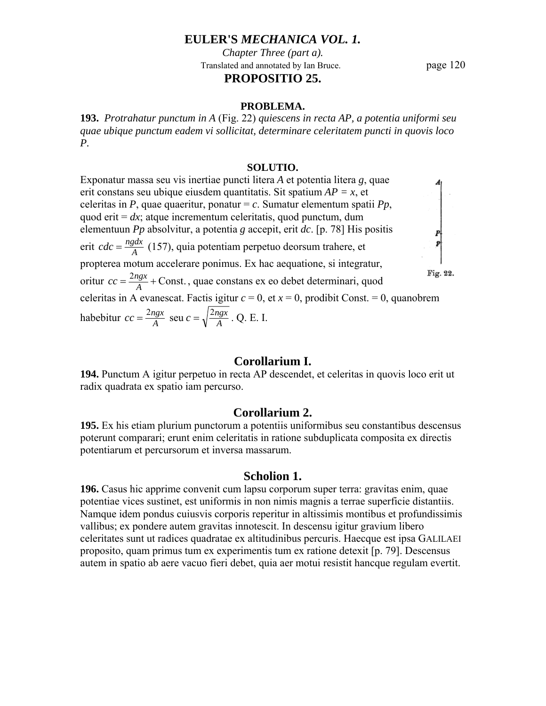*Chapter Three (part a).* Translated and annotated by Ian Bruce. page 120 **PROPOSITIO 25.** 

#### **PROBLEMA.**

**193.** *Protrahatur punctum in A* (Fig. 22) *quiescens in recta AP, a potentia uniformi seu quae ubique punctum eadem vi sollicitat, determinare celeritatem puncti in quovis loco P.* 

#### **SOLUTIO.**

Exponatur massa seu vis inertiae puncti litera *A* et potentia litera *g*, quae erit constans seu ubique eiusdem quantitatis. Sit spatium *AP = x*, et celeritas in *P*, quae quaeritur, ponatur = *c*. Sumatur elementum spatii *Pp*,  $\begin{bmatrix} P \\ P \\ P \end{bmatrix}$ quod erit =  $dx$ ; atque incrementum celeritatis, quod punctum, dum elementuun *Pp* absolvitur, a potentia *g* accepit, erit *dc*. [p. 78] His positis erit *cdc* =  $\frac{ngdx}{A}$  (157), quia potentiam perpetuo deorsum trahere, et propterea motum accelerare ponimus. Ex hac aequatione, si integratur, Fig. 22. oritur  $cc = \frac{2ngx}{A} + \text{Const.}$ , quae constans ex eo debet determinari, quod celeritas in A evanescat. Factis igitur  $c = 0$ , et  $x = 0$ , prodibit Const. = 0, quanobrem habebitur  $cc = \frac{2ngx}{A}$  seu  $c = \sqrt{\frac{2ngx}{A}}$  $cc = \frac{2ngx}{A}$  seu  $c = \sqrt{\frac{2ngx}{A}}$ . Q. E. I.

## **Corollarium I.**

**194.** Punctum A igitur perpetuo in recta AP descendet, et celeritas in quovis loco erit ut radix quadrata ex spatio iam percurso.

### **Corollarium 2.**

**195.** Ex his etiam plurium punctorum a potentiis uniformibus seu constantibus descensus poterunt comparari; erunt enim celeritatis in ratione subduplicata composita ex directis potentiarum et percursorum et inversa massarum.

#### **Scholion 1.**

**196.** Casus hic apprime convenit cum lapsu corporum super terra: gravitas enim, quae potentiae vices sustinet, est uniformis in non nimis magnis a terrae superficie distantiis. Namque idem pondus cuiusvis corporis reperitur in altissimis montibus et profundissimis vallibus; ex pondere autem gravitas innotescit. In descensu igitur gravium libero celeritates sunt ut radices quadratae ex altitudinibus percuris. Haecque est ipsa GALILAEI proposito, quam primus tum ex experimentis tum ex ratione detexit [p. 79]. Descensus autem in spatio ab aere vacuo fieri debet, quia aer motui resistit hancque regulam evertit.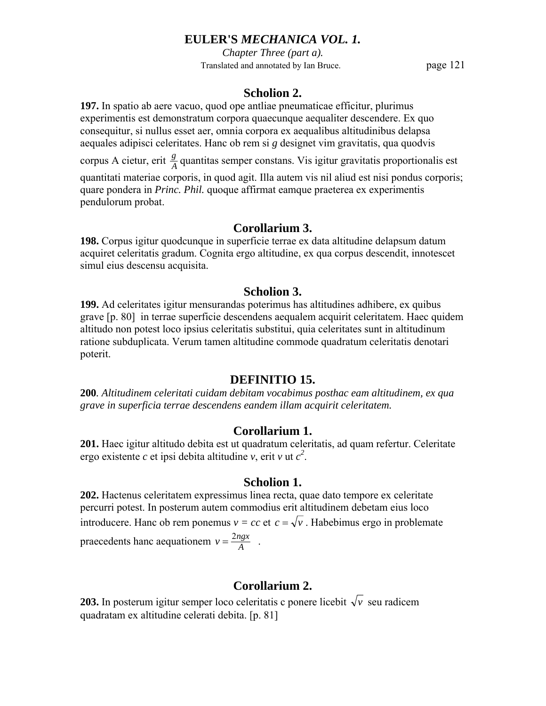*Chapter Three (part a).* Translated and annotated by Ian Bruce. page 121

# **Scholion 2.**

**197.** In spatio ab aere vacuo, quod ope antliae pneumaticae efficitur, plurimus experimentis est demonstratum corpora quaecunque aequaliter descendere. Ex quo consequitur, si nullus esset aer, omnia corpora ex aequalibus altitudinibus delapsa aequales adipisci celeritates. Hanc ob rem si *g* designet vim gravitatis, qua quodvis

corpus A cietur, erit  $\frac{g}{A}$  quantitas semper constans. Vis igitur gravitatis proportionalis est

quantitati materiae corporis, in quod agit. Illa autem vis nil aliud est nisi pondus corporis; quare pondera in *Princ. Phil.* quoque affirmat eamque praeterea ex experimentis pendulorum probat.

# **Corollarium 3.**

**198.** Corpus igitur quodcunque in superficie terrae ex data altitudine delapsum datum acquiret celeritatis gradum. Cognita ergo altitudine, ex qua corpus descendit, innotescet simul eius descensu acquisita.

# **Scholion 3.**

**199.** Ad celeritates igitur mensurandas poterimus has altitudines adhibere, ex quibus grave [p. 80] in terrae superficie descendens aequalem acquirit celeritatem. Haec quidem altitudo non potest loco ipsius celeritatis substitui, quia celeritates sunt in altitudinum ratione subduplicata. Verum tamen altitudine commode quadratum celeritatis denotari poterit.

# **DEFINITIO 15.**

**200***. Altitudinem celeritati cuidam debitam vocabimus posthac eam altitudinem, ex qua grave in superficia terrae descendens eandem illam acquirit celeritatem.* 

# **Corollarium 1.**

**201.** Haec igitur altitudo debita est ut quadratum celeritatis, ad quam refertur. Celeritate ergo existente *c* et ipsi debita altitudine *v*, erit *v* ut  $c^2$ .

# **Scholion 1.**

**202.** Hactenus celeritatem expressimus linea recta, quae dato tempore ex celeritate percurri potest. In posterum autem commodius erit altitudinem debetam eius loco introducere. Hanc ob rem ponemus  $v = cc$  et  $c = \sqrt{v}$ . Habebimus ergo in problemate praecedents hanc aequationem  $v = \frac{2ngx}{A}$ .

# **Corollarium 2.**

**203.** In posterum igitur semper loco celeritatis c ponere licebit  $\sqrt{v}$  seu radicem quadratam ex altitudine celerati debita. [p. 81]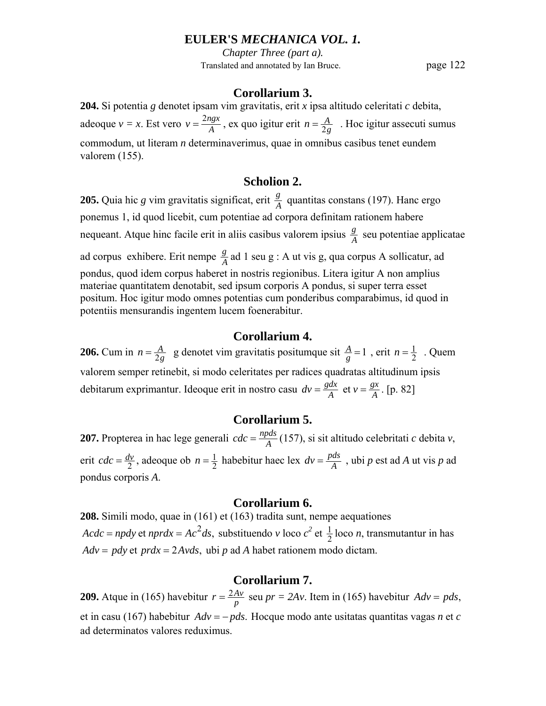*Chapter Three (part a).* Translated and annotated by Ian Bruce. page 122

### **Corollarium 3.**

**204.** Si potentia *g* denotet ipsam vim gravitatis, erit *x* ipsa altitudo celeritati *c* debita, adeoque  $v = x$ . Est vero  $v = \frac{2ngx}{A}$ , ex quo igitur erit  $n = \frac{A}{2g}$ . Hoc igitur assecuti sumus commodum, ut literam *n* determinaverimus, quae in omnibus casibus tenet eundem valorem (155).

# **Scholion 2.**

**205.** Quia hic *g* vim gravitatis significat, erit  $\frac{g}{A}$  quantitas constans (197). Hanc ergo ponemus 1, id quod licebit, cum potentiae ad corpora definitam rationem habere nequeant. Atque hinc facile erit in aliis casibus valorem ipsius  $\frac{g}{A}$  seu potentiae applicatae ad corpus exhibere. Erit nempe  $\frac{g}{A}$  ad 1 seu g : A ut vis g, qua corpus A sollicatur, ad pondus, quod idem corpus haberet in nostris regionibus. Litera igitur A non amplius materiae quantitatem denotabit, sed ipsum corporis A pondus, si super terra esset positum. Hoc igitur modo omnes potentias cum ponderibus comparabimus, id quod in potentiis mensurandis ingentem lucem foenerabitur.

### **Corollarium 4.**

**206.** Cum in  $n = \frac{A}{2g}$  g denotet vim gravitatis positumque sit  $\frac{A}{g} = 1$ , erit  $n = \frac{1}{2}$ . Quem valorem semper retinebit, si modo celeritates per radices quadratas altitudinum ipsis debitarum exprimantur. Ideoque erit in nostro casu  $dv = \frac{gdx}{A}$  et  $v = \frac{gx}{A}$  $dv = \frac{gdx}{A}$  et  $v = \frac{gx}{A}$ . [p. 82]

### **Corollarium 5.**

**207.** Propterea in hac lege generali  $cdc = \frac{n\rho ds}{A}$  (157), si sit altitudo celebritati *c* debita *v*, erit  $cdc = \frac{dv}{2}$ , adeoque ob  $n = \frac{1}{2}$  habebitur haec lex  $dv = \frac{pds}{A}$ , ubi *p* est ad *A* ut vis *p* ad pondus corporis *A*.

#### **Corollarium 6.**

**208.** Simili modo, quae in (161) et (163) tradita sunt, nempe aequationes  $Acdc = npdy$  et  $nprdx = Ac^2ds$ , substituendo *v* loco  $c^2$  et  $\frac{1}{2}$  loco *n*, transmutantur in has *Adv* = *pdy* et *prdx* = 2*Avds*, ubi *p* ad *A* habet rationem modo dictam.

# **Corollarium 7.**

**209.** Atque in (165) havebitur  $r = \frac{2Av}{p}$  seu  $pr = 2Av$ . Item in (165) havebitur  $Adv = pds$ , et in casu (167) habebitur  $Adv = -pds$ . Hocque modo ante usitatas quantitas vagas *n* et *c* ad determinatos valores reduximus.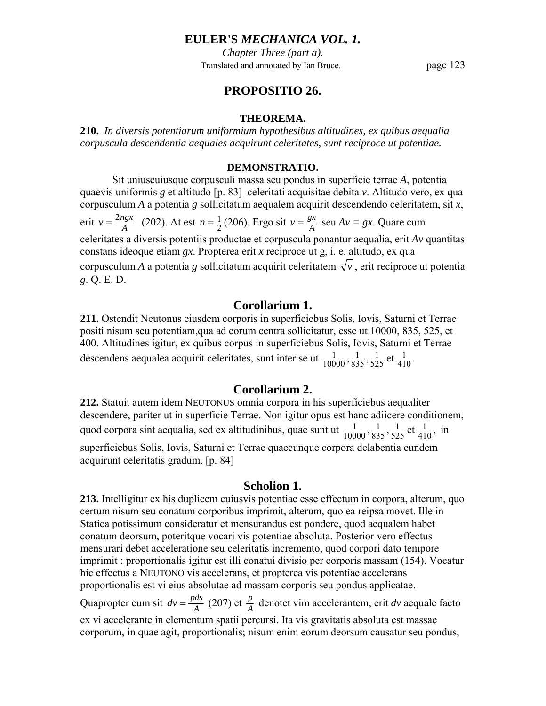*Chapter Three (part a).* Translated and annotated by Ian Bruce. page 123

# **PROPOSITIO 26.**

#### **THEOREMA.**

**210.** *In diversis potentiarum uniformium hypothesibus altitudines, ex quibus aequalia corpuscula descendentia aequales acquirunt celeritates, sunt reciproce ut potentiae.* 

### **DEMONSTRATIO.**

 Sit uniuscuiusque corpusculi massa seu pondus in superficie terrae *A*, potentia quaevis uniformis *g* et altitudo [p. 83] celeritati acquisitae debita *v*. Altitudo vero, ex qua corpusculum *A* a potentia *g* sollicitatum aequalem acquirit descendendo celeritatem, sit *x*, erit  $v = \frac{2ngx}{A}$  (202). At est  $n = \frac{1}{2}(206)$ . Ergo sit  $v = \frac{gx}{A}$  seu  $Av = gx$ . Quare cum celeritates a diversis potentiis productae et corpuscula ponantur aequalia, erit *Av* quantitas constans ideoque etiam *gx*. Propterea erit *x* reciproce ut g, i. e. altitudo, ex qua corpusculum *A* a potentia *g* sollicitatum acquirit celeritatem  $\sqrt{v}$ , erit reciproce ut potentia *g*. Q. E. D.

# **Corollarium 1.**

**211.** Ostendit Neutonus eiusdem corporis in superficiebus Solis, Iovis, Saturni et Terrae positi nisum seu potentiam,qua ad eorum centra sollicitatur, esse ut 10000, 835, 525, et 400. Altitudines igitur, ex quibus corpus in superficiebus Solis, Iovis, Saturni et Terrae descendens aequalea acquirit celeritates, sunt inter se ut  $\frac{1}{10000}, \frac{1}{835}, \frac{1}{525}$  et  $\frac{1}{410}$ . 525 1 835 1 10000 1

# **Corollarium 2.**

**212.** Statuit autem idem NEUTONUS omnia corpora in his superficiebus aequaliter descendere, pariter ut in superficie Terrae. Non igitur opus est hanc adiicere conditionem, quod corpora sint aequalia, sed ex altitudinibus, quae sunt ut  $\frac{1}{10000}, \frac{1}{835}, \frac{1}{525}$  et  $\frac{1}{410}$ , 525 1 835 1  $\frac{1}{10000}, \frac{1}{835}, \frac{1}{525}$  et  $\frac{1}{410}$ , in superficiebus Solis, Iovis, Saturni et Terrae quaecunque corpora delabentia eundem acquirunt celeritatis gradum. [p. 84]

# **Scholion 1.**

**213.** Intelligitur ex his duplicem cuiusvis potentiae esse effectum in corpora, alterum, quo certum nisum seu conatum corporibus imprimit, alterum, quo ea reipsa movet. Ille in Statica potissimum consideratur et mensurandus est pondere, quod aequalem habet conatum deorsum, poteritque vocari vis potentiae absoluta. Posterior vero effectus mensurari debet acceleratione seu celeritatis incremento, quod corpori dato tempore imprimit : proportionalis igitur est illi conatui divisio per corporis massam (154). Vocatur hic effectus a NEUTONO vis accelerans, et propterea vis potentiae accelerans proportionalis est vi eius absolutae ad massam corporis seu pondus applicatae.

Quapropter cum sit  $dv = \frac{pds}{A}$  (207) et  $\frac{p}{A}$  denotet vim accelerantem, erit *dv* aequale facto ex vi accelerante in elementum spatii percursi. Ita vis gravitatis absoluta est massae corporum, in quae agit, proportionalis; nisum enim eorum deorsum causatur seu pondus,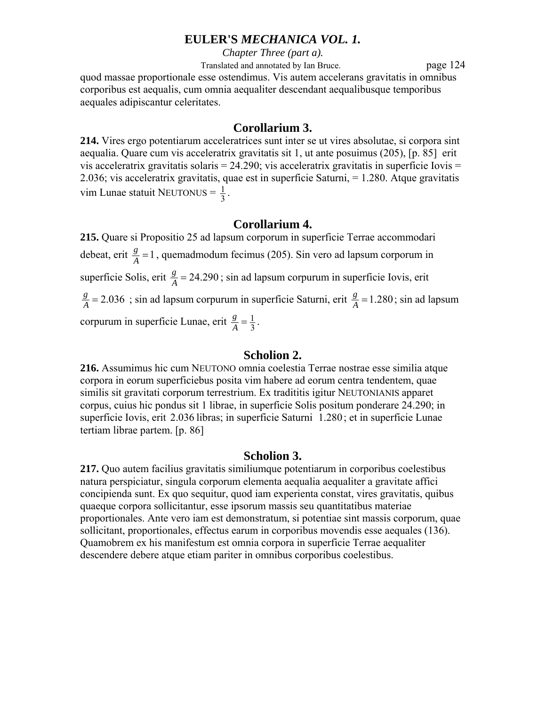*Chapter Three (part a).*

Translated and annotated by Ian Bruce. page 124

quod massae proportionale esse ostendimus. Vis autem accelerans gravitatis in omnibus corporibus est aequalis, cum omnia aequaliter descendant aequalibusque temporibus aequales adipiscantur celeritates.

# **Corollarium 3.**

**214.** Vires ergo potentiarum acceleratrices sunt inter se ut vires absolutae, si corpora sint aequalia. Quare cum vis acceleratrix gravitatis sit 1, ut ante posuimus (205), [p. 85] erit vis acceleratrix gravitatis solaris =  $24.290$ ; vis acceleratrix gravitatis in superficie Iovis = 2.036; vis acceleratrix gravitatis, quae est in superficie Saturni, = 1.280. Atque gravitatis vim Lunae statuit NEUTONUS =  $\frac{1}{3}$ .

## **Corollarium 4.**

**215.** Quare si Propositio 25 ad lapsum corporum in superficie Terrae accommodari debeat, erit  $\frac{g}{A} = 1$ , quemadmodum fecimus (205). Sin vero ad lapsum corporum in superficie Solis, erit  $\frac{g}{A} = 24.290$ ; sin ad lapsum corpurum in superficie Iovis, erit  $\frac{g}{A}$  = 2.036 ; sin ad lapsum corpurum in superficie Saturni, erit  $\frac{g}{A}$  = 1.280; sin ad lapsum corpurum in superficie Lunae, erit  $\frac{g}{A} = \frac{1}{3}$ .

# **Scholion 2.**

**216.** Assumimus hic cum NEUTONO omnia coelestia Terrae nostrae esse similia atque corpora in eorum superficiebus posita vim habere ad eorum centra tendentem, quae similis sit gravitati corporum terrestrium. Ex tradititis igitur NEUTONIANIS apparet corpus, cuius hic pondus sit 1 librae, in superficie Solis positum ponderare 24.290; in superficie Iovis, erit 2.036 libras; in superficie Saturni 1.280 ; et in superficie Lunae tertiam librae partem. [p. 86]

# **Scholion 3.**

**217.** Quo autem facilius gravitatis similiumque potentiarum in corporibus coelestibus natura perspiciatur, singula corporum elementa aequalia aequaliter a gravitate affici concipienda sunt. Ex quo sequitur, quod iam experienta constat, vires gravitatis, quibus quaeque corpora sollicitantur, esse ipsorum massis seu quantitatibus materiae proportionales. Ante vero iam est demonstratum, si potentiae sint massis corporum, quae sollicitant, proportionales, effectus earum in corporibus movendis esse aequales (136). Quamobrem ex his manifestum est omnia corpora in superficie Terrae aequaliter descendere debere atque etiam pariter in omnibus corporibus coelestibus.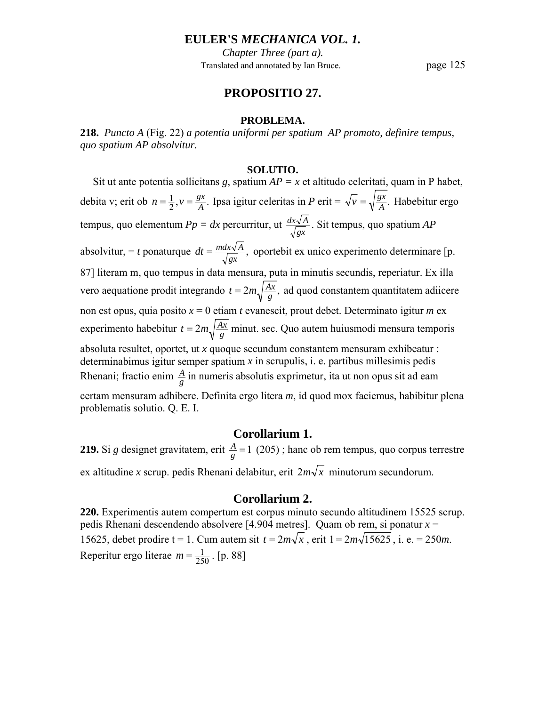*Chapter Three (part a).* Translated and annotated by Ian Bruce. page 125

# **PROPOSITIO 27.**

#### **PROBLEMA.**

**218.** *Puncto A* (Fig. 22) *a potentia uniformi per spatium AP promoto, definire tempus, quo spatium AP absolvitur.* 

#### **SOLUTIO.**

Sit ut ante potentia sollicitans *g*, spatium  $AP = x$  et altitudo celeritati, quam in P habet, debita v; erit ob  $n = \frac{1}{2}, v = \frac{gx}{A}$ .  $n = \frac{1}{2}, v = \frac{gx}{A}$ . Ipsa igitur celeritas in *P* erit =  $\sqrt{v} = \sqrt{\frac{gx}{A}}$ . Habebitur ergo tempus, quo elementum  $Pp = dx$  percurritur, ut  $\frac{dx\sqrt{A}}{\sqrt{gx}}$ . Sit tempus, quo spatium *AP* absolvitur, = *t* ponaturque  $dt = \frac{mdx\sqrt{A}}{\sqrt{gx}}$ , oportebit ex unico experimento determinare [p. 87] literam m, quo tempus in data mensura, puta in minutis secundis, reperiatur. Ex illa vero aequatione prodit integrando  $t = 2m \sqrt{\frac{Ax}{g}}$ , ad quod constantem quantitatem adiicere non est opus, quia posito *x* = 0 etiam *t* evanescit, prout debet. Determinato igitur *m* ex experimento habebitur  $t = 2m \sqrt{\frac{Ax}{g}}$  minut. sec. Quo autem huiusmodi mensura temporis absoluta resultet, oportet, ut *x* quoque secundum constantem mensuram exhibeatur : determinabimus igitur semper spatium *x* in scrupulis, i. e. partibus millesimis pedis Rhenani; fractio enim  $\frac{A}{g}$  in numeris absolutis exprimetur, ita ut non opus sit ad eam certam mensuram adhibere. Definita ergo litera *m*, id quod mox faciemus, habibitur plena problematis solutio. Q. E. I.

### **Corollarium 1.**

**219.** Si *g* designet gravitatem, erit  $\frac{A}{g} = 1$  (205); hanc ob rem tempus, quo corpus terrestre ex altitudine *x* scrup. pedis Rhenani delabitur, erit  $2m\sqrt{x}$  minutorum secundorum.

## **Corollarium 2.**

**220.** Experimentis autem compertum est corpus minuto secundo altitudinem 15525 scrup. pedis Rhenani descendendo absolvere [4.904 metres]. Quam ob rem, si ponatur *x* = 15625, debet prodire t = 1. Cum autem sit  $t = 2m\sqrt{x}$ , erit  $1 = 2m\sqrt{15625}$ , i. e. = 250*m*. Reperitur ergo literae  $m = \frac{1}{250}$ . [p. 88]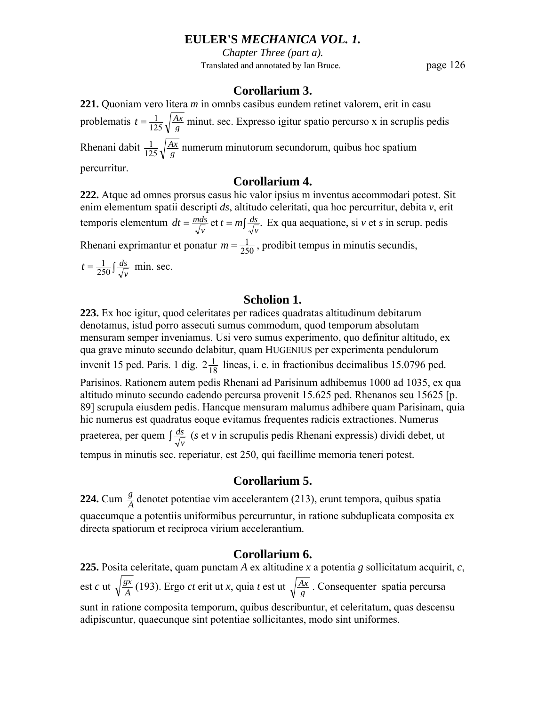*Chapter Three (part a).* Translated and annotated by Ian Bruce. page 126

# **Corollarium 3.**

**221.** Quoniam vero litera *m* in omnbs casibus eundem retinet valorem, erit in casu problematis  $t = \frac{1}{125} \sqrt{\frac{Ax}{g}}$  minut. sec. Expresso igitur spatio percurso x in scruplis pedis Rhenani dabit  $\frac{1}{125}\sqrt{\frac{A^2}{g}}$ *Ax*  $\frac{1}{125}\sqrt{\frac{Ax}{g}}$  numerum minutorum secundorum, quibus hoc spatium percurritur.

# **Corollarium 4.**

**222.** Atque ad omnes prorsus casus hic valor ipsius m inventus accommodari potest. Sit enim elementum spatii descripti *ds*, altitudo celeritati, qua hoc percurritur, debita *v*, erit temporis elementum  $dt = \frac{mds}{\sqrt{v}}$  et  $t = m\int \frac{ds}{\sqrt{v}}$ . *ds*  $dt = \frac{mds}{\sqrt{v}}$  et  $t = m\int \frac{ds}{\sqrt{v}}$ . Ex qua aequatione, si *v* et *s* in scrup. pedis Rhenani exprimantur et ponatur  $m = \frac{1}{250}$ , prodibit tempus in minutis secundis,

 $t = \frac{1}{250} \int \frac{ds}{\sqrt{v}}$  min. sec.

# **Scholion 1.**

**223.** Ex hoc igitur, quod celeritates per radices quadratas altitudinum debitarum denotamus, istud porro assecuti sumus commodum, quod temporum absolutam mensuram semper inveniamus. Usi vero sumus experimento, quo definitur altitudo, ex qua grave minuto secundo delabitur, quam HUGENIUS per experimenta pendulorum invenit 15 ped. Paris. 1 dig.  $2\frac{1}{18}$  lineas, i. e. in fractionibus decimalibus 15.0796 ped. Parisinos. Rationem autem pedis Rhenani ad Parisinum adhibemus 1000 ad 1035, ex qua altitudo minuto secundo cadendo percursa provenit 15.625 ped. Rhenanos seu 15625 [p. 89] scrupula eiusdem pedis. Hancque mensuram malumus adhibere quam Parisinam, quia hic numerus est quadratus eoque evitamus frequentes radicis extractiones. Numerus praeterea, per quem  $\int \frac{ds}{\sqrt{v}}$  (*s* et *v* in scrupulis pedis Rhenani expressis) dividi debet, ut tempus in minutis sec. reperiatur, est 250, qui facillime memoria teneri potest.

# **Corollarium 5.**

**224.** Cum  $\frac{g}{A}$  denotet potentiae vim accelerantem (213), erunt tempora, quibus spatia quaecumque a potentiis uniformibus percurruntur, in ratione subduplicata composita ex directa spatiorum et reciproca virium accelerantium.

# **Corollarium 6.**

**225.** Posita celeritate, quam punctam *A* ex altitudine *x* a potentia *g* sollicitatum acquirit, *c*, est *c* ut  $\sqrt{\frac{gx}{A}}$  (193). Ergo *ct* erit ut *x*, quia *t* est ut  $\sqrt{\frac{Ax}{g}}$ . Consequenter spatia percursa sunt in ratione composita temporum, quibus describuntur, et celeritatum, quas descensu adipiscuntur, quaecunque sint potentiae sollicitantes, modo sint uniformes.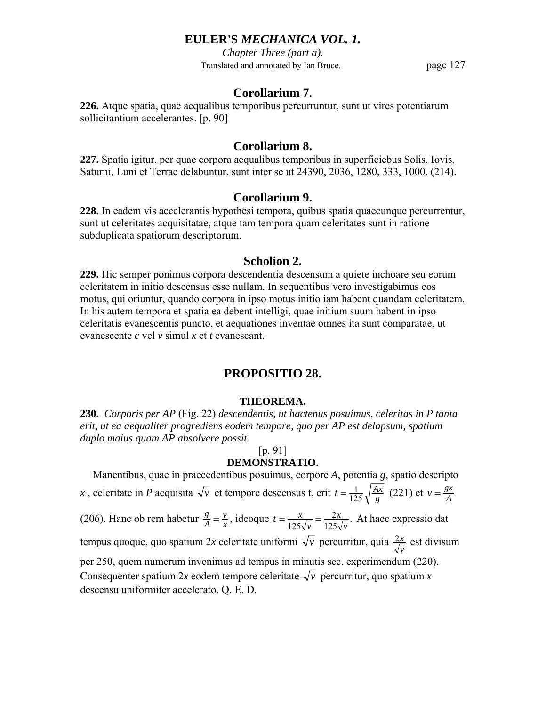*Chapter Three (part a).* Translated and annotated by Ian Bruce. page 127

# **Corollarium 7.**

**226.** Atque spatia, quae aequalibus temporibus percurruntur, sunt ut vires potentiarum sollicitantium accelerantes. [p. 90]

## **Corollarium 8.**

**227.** Spatia igitur, per quae corpora aequalibus temporibus in superficiebus Solis, Iovis, Saturni, Luni et Terrae delabuntur, sunt inter se ut 24390, 2036, 1280, 333, 1000. (214).

## **Corollarium 9.**

**228.** In eadem vis accelerantis hypothesi tempora, quibus spatia quaecunque percurrentur, sunt ut celeritates acquisitatae, atque tam tempora quam celeritates sunt in ratione subduplicata spatiorum descriptorum.

#### **Scholion 2.**

**229.** Hic semper ponimus corpora descendentia descensum a quiete inchoare seu eorum celeritatem in initio descensus esse nullam. In sequentibus vero investigabimus eos motus, qui oriuntur, quando corpora in ipso motus initio iam habent quandam celeritatem. In his autem tempora et spatia ea debent intelligi, quae initium suum habent in ipso celeritatis evanescentis puncto, et aequationes inventae omnes ita sunt comparatae, ut evanescente *c* vel *v* simul *x* et *t* evanescant.

# **PROPOSITIO 28.**

#### **THEOREMA.**

**230.** *Corporis per AP* (Fig. 22) *descendentis, ut hactenus posuimus, celeritas in P tanta erit, ut ea aequaliter progrediens eodem tempore, quo per AP est delapsum, spatium duplo maius quam AP absolvere possit.* 

### [p. 91]

# **DEMONSTRATIO.**

 Manentibus, quae in praecedentibus posuimus, corpore *A*, potentia *g*, spatio descripto *x*, celeritate in *P* acquisita  $\sqrt{v}$  et tempore descensus t, erit  $t = \frac{1}{125} \sqrt{\frac{Ax}{g}}$  (221) et  $v = \frac{gx}{A}$ (206). Hanc ob rem habetur  $\frac{g}{A} = \frac{v}{x}$  $\frac{g}{A} = \frac{v}{x}$ , ideoque  $t = \frac{x}{125\sqrt{v}} = \frac{2x}{125\sqrt{v}}$ .  $125\sqrt{\nu}$  125 $\sqrt{\nu}$ *x*  $t = \frac{x}{125\sqrt{v}} = \frac{2x}{125\sqrt{v}}$ . At haec expressio dat tempus quoque, quo spatium 2*x* celeritate uniformi  $\sqrt{v}$  percurritur, quia  $\frac{2x}{\sqrt{v}}$  est divisum per 250, quem numerum invenimus ad tempus in minutis sec. experimendum (220). Consequenter spatium 2x eodem tempore celeritate  $\sqrt{v}$  percurritur, quo spatium x descensu uniformiter accelerato. Q. E. D.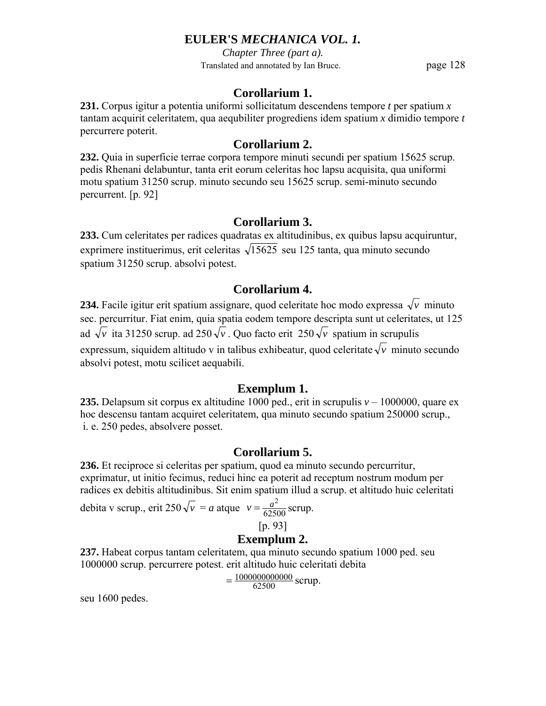*Chapter Three (part a).* Translated and annotated by Ian Bruce. page 128

# **Corollarium 1.**

**231.** Corpus igitur a potentia uniformi sollicitatum descendens tempore *t* per spatium *x* tantam acquirit celeritatem, qua aequbiliter progrediens idem spatium *x* dimidio tempore *t*  percurrere poterit.

# **Corollarium 2.**

**232.** Quia in superficie terrae corpora tempore minuti secundi per spatium 15625 scrup. pedis Rhenani delabuntur, tanta erit eorum celeritas hoc lapsu acquisita, qua uniformi motu spatium 31250 scrup. minuto secundo seu 15625 scrup. semi-minuto secundo percurrent. [p. 92]

# **Corollarium 3.**

**233.** Cum celeritates per radices quadratas ex altitudinibus, ex quibus lapsu acquiruntur, exprimere instituerimus, erit celeritas  $\sqrt{15625}$  seu 125 tanta, qua minuto secundo spatium 31250 scrup. absolvi potest.

# **Corollarium 4.**

**234.** Facile igitur erit spatium assignare, quod celeritate hoc modo expressa  $\sqrt{\nu}$  minuto sec. percurritur. Fiat enim, quia spatia eodem tempore descripta sunt ut celeritates, ut 125 ad  $\sqrt{\nu}$  ita 31250 scrup. ad 250 $\sqrt{\nu}$ . Quo facto erit 250 $\sqrt{\nu}$  spatium in scrupulis expressum, siquidem altitudo v in talibus exhibeatur, quod celeritate  $\sqrt{\nu}$  minuto secundo absolvi potest, motu scilicet aequabili.

# **Exemplum 1.**

**235.** Delapsum sit corpus ex altitudine 1000 ped., erit in scrupulis  $v - 1000000$ , quare ex hoc descensu tantam acquiret celeritatem, qua minuto secundo spatium 250000 scrup., i. e. 250 pedes, absolvere posset.

# **Corollarium 5.**

**236.** Et reciproce si celeritas per spatium, quod ea minuto secundo percurritur, exprimatur, ut initio fecimus, reduci hinc ea poterit ad receptum nostrum modum per radices ex debitis altitudinibus. Sit enim spatium illud a scrup. et altitudo huic celeritati

debita v scrup., erit  $250\sqrt{v} = a$  atque  $v = \frac{a^2}{62500}$  scrup.

[p. 93]

# **Exemplum 2.**

**237.** Habeat corpus tantam celeritatem, qua minuto secundo spatium 1000 ped. seu 1000000 scrup. percurrere potest. erit altitudo huic celeritati debita

 $=\frac{1000000000000}{62500}$  scrup.

seu 1600 pedes.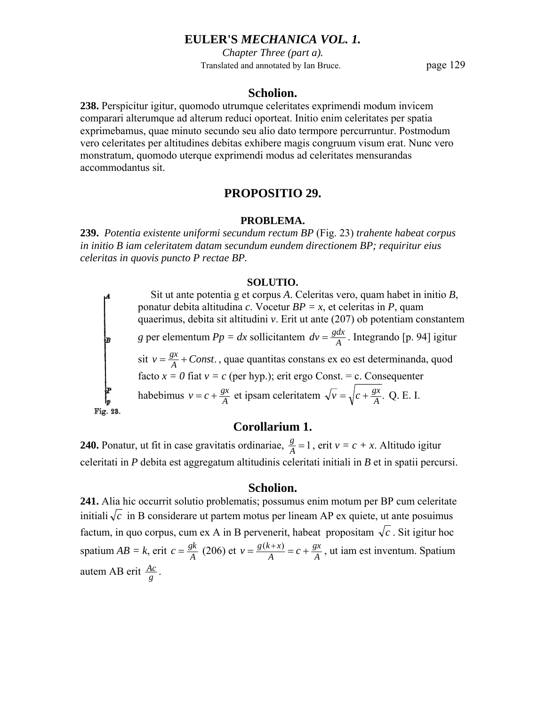*Chapter Three (part a).* Translated and annotated by Ian Bruce. page 129

#### **Scholion.**

**238.** Perspicitur igitur, quomodo utrumque celeritates exprimendi modum invicem comparari alterumque ad alterum reduci oporteat. Initio enim celeritates per spatia exprimebamus, quae minuto secundo seu alio dato termpore percurruntur. Postmodum vero celeritates per altitudines debitas exhibere magis congruum visum erat. Nunc vero monstratum, quomodo uterque exprimendi modus ad celeritates mensurandas accommodantus sit.

# **PROPOSITIO 29.**

#### **PROBLEMA.**

**239.** *Potentia existente uniformi secundum rectum BP* (Fig. 23) *trahente habeat corpus in initio B iam celeritatem datam secundum eundem directionem BP; requiritur eius celeritas in quovis puncto P rectae BP.* 

#### **SOLUTIO.**

 Sit ut ante potentia g et corpus *A*. Celeritas vero, quam habet in initio *B*, ponatur debita altitudina *c*. Vocetur  $BP = x$ , et celeritas in *P*, quam quaerimus, debita sit altitudini *v*. Erit ut ante (207) ob potentiam constantem *g* per elementum  $Pp = dx$  sollicitantem  $dv = \frac{gdx}{A}$ . Integrando [p. 94] igitur sit  $v = \frac{gx}{A} + Const.$ , quae quantitas constans ex eo est determinanda, quod facto  $x = 0$  fiat  $v = c$  (per hyp.); erit ergo Const. = c. Consequenter habebimus  $v = c + \frac{gx}{A}$  et ipsam celeritatem  $\sqrt{v} = \sqrt{c + \frac{gx}{A}}$ . Q. E. I. Fig. 23.

# **Corollarium 1.**

**240.** Ponatur, ut fit in case gravitatis ordinariae,  $\frac{g}{A} = 1$ , erit  $v = c + x$ . Altitudo igitur celeritati in *P* debita est aggregatum altitudinis celeritati initiali in *B* et in spatii percursi.

#### **Scholion.**

**241.** Alia hic occurrit solutio problematis; possumus enim motum per BP cum celeritate initiali  $\sqrt{c}$  in B considerare ut partem motus per lineam AP ex quiete, ut ante posuimus factum, in quo corpus, cum ex A in B pervenerit, habeat propositam  $\sqrt{c}$ . Sit igitur hoc spatium  $AB = k$ , erit  $c = \frac{gk}{A}$  (206) et  $v = \frac{g(k+x)}{A} = c + \frac{gx}{A}$  $v = \frac{g(k+x)}{A} = c + \frac{gx}{A}$ , ut iam est inventum. Spatium autem AB erit  $\frac{Ac}{g}$ .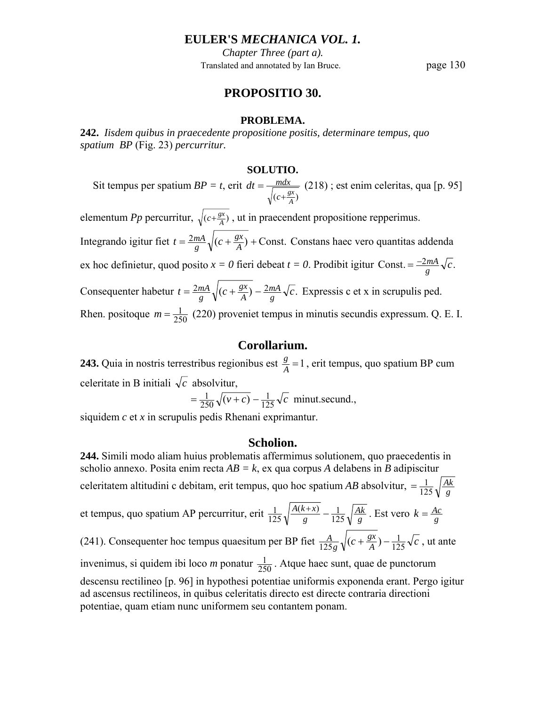*Chapter Three (part a).* Translated and annotated by Ian Bruce. page 130

# **PROPOSITIO 30.**

#### **PROBLEMA.**

**242.** *Iisdem quibus in praecedente propositione positis, determinare tempus, quo spatium BP* (Fig. 23) *percurritur.* 

#### **SOLUTIO.**

 Sit tempus per spatium *BP = t*, erit  $(c + \frac{gx}{A})$  $dt = \frac{mdx}{\sqrt{m}}$ +  $=\frac{mdx}{\sqrt{2}}$  (218); est enim celeritas, qua [p. 95] elementum *Pp* percurritur,  $\sqrt{(c+\frac{gx}{A})}$ , ut in praecendent propositione repperimus. Integrando igitur fiet  $t = \frac{2mA}{g}\sqrt{(c + \frac{gx}{A}) +$ Const.  $t = \frac{2mA}{g}\sqrt{(c + \frac{gx}{A}) +$ Const. Constans haec vero quantitas addenda ex hoc definietur, quod posito  $x = 0$  fieri debeat  $t = 0$ . Prodibit igitur Const.  $= \frac{-2mA}{g}\sqrt{c}$ . Consequenter habetur  $t = \frac{2mA}{g}\sqrt{(c + \frac{gx}{A}) - \frac{2mA}{g}\sqrt{c}}$ . *mA A gx*  $=\frac{2mA}{g}\sqrt{(c+\frac{gx}{A})-\frac{2mA}{g}\sqrt{c}}$ . Expressis c et x in scrupulis ped. Rhen. positoque  $m = \frac{1}{250}$  (220) proveniet tempus in minutis secundis expressum. Q. E. I.

# **Corollarium.**

**243.** Quia in nostris terrestribus regionibus est  $\frac{g}{A} = 1$ , erit tempus, quo spatium BP cum celeritate in B initiali  $\sqrt{c}$  absolvitur,

$$
= \frac{1}{250}\sqrt{(v+c)} - \frac{1}{125}\sqrt{c} \text{ minute.} \text{secund.},
$$

siquidem *c* et *x* in scrupulis pedis Rhenani exprimantur.

## **Scholion.**

**244.** Simili modo aliam huius problematis affermimus solutionem, quo praecedentis in scholio annexo. Posita enim recta *AB = k*, ex qua corpus *A* delabens in *B* adipiscitur celeritatem altitudini c debitam, erit tempus, quo hoc spatium *AB* absolvitur,  $=$  $\frac{1}{125} \sqrt{\frac{Ak}{g}}$  $=\frac{1}{125}$ et tempus, quo spatium AP percurritur, erit  $\frac{1}{125}\sqrt{\frac{A(k+x)}{g}} - \frac{1}{125}\sqrt{\frac{Ak}{g}}$ *g*  $A(k+x)$ 125  $\frac{(k+x)}{2} - 1$  $\frac{1}{125}\sqrt{\frac{A(k+x)}{g}} - \frac{1}{125}\sqrt{\frac{Ak}{g}}$ . Est vero  $k = \frac{Ac}{g}$ (241). Consequenter hoc tempus quaesitum per BP fiet  $\frac{A}{125g}\sqrt{(c+\frac{gx}{A})-\frac{1}{125}\sqrt{c}}$ *g A* 125  $\frac{A}{125g}\sqrt{(c+\frac{gx}{A})-\frac{1}{125}\sqrt{c}}$ , ut ante invenimus, si quidem ibi loco *m* ponatur  $\frac{1}{250}$ . Atque haec sunt, quae de punctorum descensu rectilineo [p. 96] in hypothesi potentiae uniformis exponenda erant. Pergo igitur ad ascensus rectilineos, in quibus celeritatis directo est directe contraria directioni potentiae, quam etiam nunc uniformem seu contantem ponam.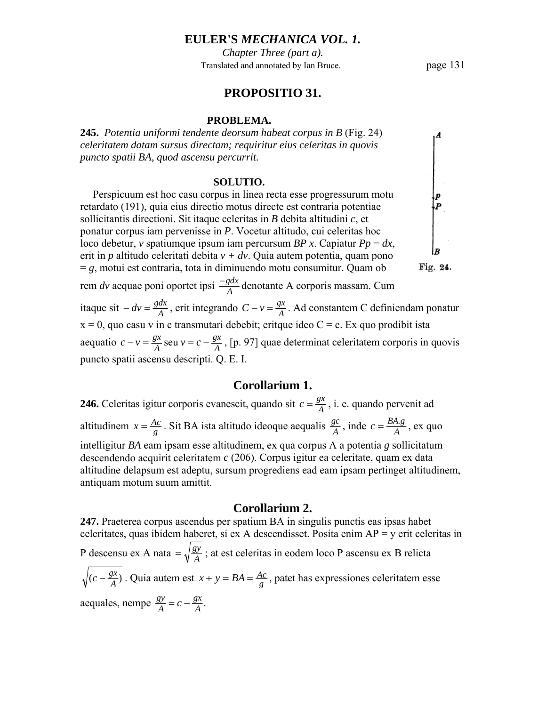*Chapter Three (part a).* Translated and annotated by Ian Bruce. page 131

## **PROPOSITIO 31.**

#### **PROBLEMA.**

**245.** *Potentia uniformi tendente deorsum habeat corpus in B* (Fig. 24) *celeritatem datam sursus directam; requiritur eius celeritas in quovis puncto spatii BA, quod ascensu percurrit.* 

#### **SOLUTIO.**

 Perspicuum est hoc casu corpus in linea recta esse progressurum motu retardato (191), quia eius directio motus directe est contraria potentiae sollicitantis directioni. Sit itaque celeritas in *B* debita altitudini *c*, et ponatur corpus iam pervenisse in *P*. Vocetur altitudo, cui celeritas hoc loco debetur, *v* spatiumque ipsum iam percursum *BP x*. Capiatur *Pp* = *dx*, erit in *p* altitudo celeritati debita *v + dv*. Quia autem potentia, quam pono  $= g$ , motui est contraria, tota in diminuendo motu consumitur. Quam ob Fig. 24. rem *dv* aequae poni oportet ipsi  $\frac{-gdx}{A}$  denotante A corporis massam. Cum itaque sit *− dv* =  $\frac{gdx}{A}$ , erit integrando *C* − *v* =  $\frac{gx}{A}$ . Ad constantem C definiendam ponatur  $x = 0$ , quo casu v in c transmutari debebit; eritque ideo C = c. Ex quo prodibit ista aequatio  $c - v = \frac{gx}{A}$  seu  $v = c - \frac{gx}{A}$  $c - v = \frac{gx}{A}$  seu  $v = c - \frac{gx}{A}$ , [p. 97] quae determinat celeritatem corporis in quovis puncto spatii ascensu descripti. Q. E. I.

#### **Corollarium 1.**

**246.** Celeritas igitur corporis evanescit, quando sit  $c = \frac{gx}{A}$ , i. e. quando pervenit ad altitudinem  $x = \frac{Ac}{g}$ . Sit BA ista altitudo ideoque aequalis  $\frac{gc}{A}$ , inde  $c = \frac{BA.g}{A}$ , ex quo intelligitur *BA* eam ipsam esse altitudinem, ex qua corpus A a potentia *g* sollicitatum descendendo acquirit celeritatem *c* (206). Corpus igitur ea celeritate, quam ex data altitudine delapsum est adeptu, sursum progrediens ead eam ipsam pertinget altitudinem, antiquam motum suum amittit.

### **Corollarium 2.**

**247.** Praeterea corpus ascendus per spatium BA in singulis punctis eas ipsas habet celeritates, quas ibidem haberet, si ex A descendisset. Posita enim AP = y erit celeritas in P descensu ex A nata  $=\sqrt{\frac{gy}{A}}$ ; at est celeritas in eodem loco P ascensu ex B relicta  $(c - \frac{gx}{A})$ . Quia autem est  $x + y = BA = \frac{Ac}{g}$ , patet has expressiones celeritatem esse aequales, nempe  $\frac{gy}{A} = c - \frac{gx}{A}$ .  $\frac{gy}{A} = c -$ 

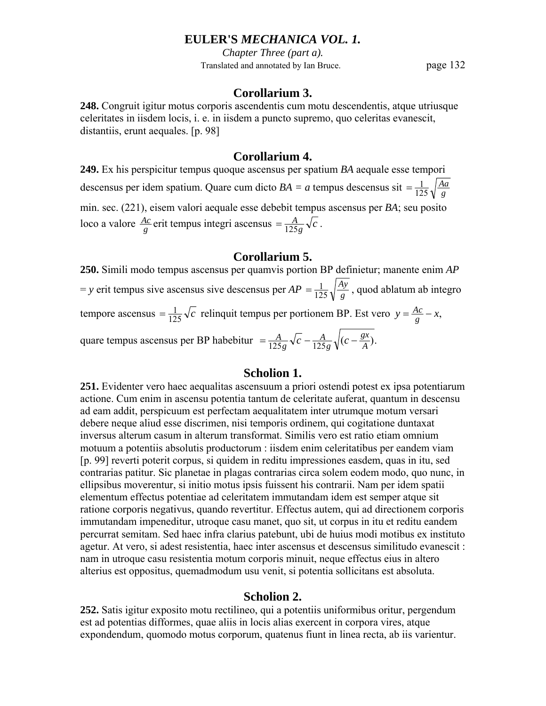*Chapter Three (part a).* Translated and annotated by Ian Bruce. page 132

### **Corollarium 3.**

**248.** Congruit igitur motus corporis ascendentis cum motu descendentis, atque utriusque celeritates in iisdem locis, i. e. in iisdem a puncto supremo, quo celeritas evanescit, distantiis, erunt aequales. [p. 98]

### **Corollarium 4.**

**249.** Ex his perspicitur tempus quoque ascensus per spatium *BA* aequale esse tempori descensus per idem spatium. Quare cum dicto  $BA = a$  tempus descensus sit  $= \frac{1}{125} \sqrt{\frac{Aa}{g}}$  $=\frac{1}{125}$ min. sec. (221), eisem valori aequale esse debebit tempus ascensus per *BA*; seu posito loco a valore  $\frac{Ac}{g}$  erit tempus integri ascensus  $=\frac{A}{125g}\sqrt{c}$  $=\frac{A}{125g}\sqrt{c}$ .

## **Corollarium 5.**

**250.** Simili modo tempus ascensus per quamvis portion BP definietur; manente enim *AP*   $y = y$  erit tempus sive ascensus sive descensus per  $AP = \frac{1}{125} \sqrt{\frac{A}{g}}$ *Ay*  $=\frac{1}{125}\sqrt{\frac{Ay}{g}}$ , quod ablatum ab integro tempore ascensus  $= \frac{1}{125} \sqrt{c}$  relinquit tempus per portionem BP. Est vero  $y = \frac{Ac}{g} - x$ , quare tempus ascensus per BP habebitur  $= \frac{A}{125 g} \sqrt{c} - \frac{A}{125 g} \sqrt{(c - \frac{gx}{A})}$ . *g A*  $=\frac{A}{125g}\sqrt{c}-\frac{A}{125g}\sqrt{(c-$ 

# **Scholion 1.**

**251.** Evidenter vero haec aequalitas ascensuum a priori ostendi potest ex ipsa potentiarum actione. Cum enim in ascensu potentia tantum de celeritate auferat, quantum in descensu ad eam addit, perspicuum est perfectam aequalitatem inter utrumque motum versari debere neque aliud esse discrimen, nisi temporis ordinem, qui cogitatione duntaxat inversus alterum casum in alterum transformat. Similis vero est ratio etiam omnium motuum a potentiis absolutis productorum : iisdem enim celeritatibus per eandem viam [p. 99] reverti poterit corpus, si quidem in reditu impressiones easdem, quas in itu, sed contrarias patitur. Sic planetae in plagas contrarias circa solem eodem modo, quo nunc, in ellipsibus moverentur, si initio motus ipsis fuissent his contrarii. Nam per idem spatii elementum effectus potentiae ad celeritatem immutandam idem est semper atque sit ratione corporis negativus, quando revertitur. Effectus autem, qui ad directionem corporis immutandam impeneditur, utroque casu manet, quo sit, ut corpus in itu et reditu eandem percurrat semitam. Sed haec infra clarius patebunt, ubi de huius modi motibus ex instituto agetur. At vero, si adest resistentia, haec inter ascensus et descensus similitudo evanescit : nam in utroque casu resistentia motum corporis minuit, neque effectus eius in altero alterius est oppositus, quemadmodum usu venit, si potentia sollicitans est absoluta.

## **Scholion 2.**

**252.** Satis igitur exposito motu rectilineo, qui a potentiis uniformibus oritur, pergendum est ad potentias difformes, quae aliis in locis alias exercent in corpora vires, atque expondendum, quomodo motus corporum, quatenus fiunt in linea recta, ab iis varientur.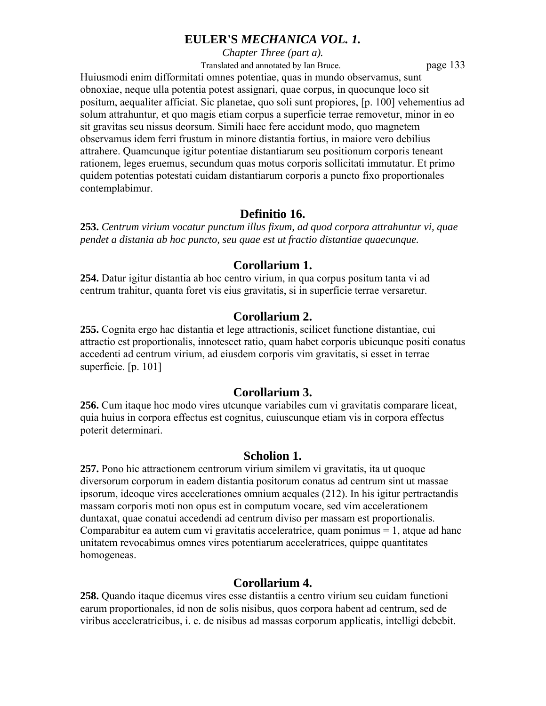*Chapter Three (part a).*

Translated and annotated by Ian Bruce. page 133

Huiusmodi enim difformitati omnes potentiae, quas in mundo observamus, sunt obnoxiae, neque ulla potentia potest assignari, quae corpus, in quocunque loco sit positum, aequaliter afficiat. Sic planetae, quo soli sunt propiores, [p. 100] vehementius ad solum attrahuntur, et quo magis etiam corpus a superficie terrae removetur, minor in eo sit gravitas seu nissus deorsum. Simili haec fere accidunt modo, quo magnetem observamus idem ferri frustum in minore distantia fortius, in maiore vero debilius attrahere. Quamcunque igitur potentiae distantiarum seu positionum corporis teneant rationem, leges eruemus, secundum quas motus corporis sollicitati immutatur. Et primo quidem potentias potestati cuidam distantiarum corporis a puncto fixo proportionales contemplabimur.

# **Definitio 16.**

**253.** *Centrum virium vocatur punctum illus fixum, ad quod corpora attrahuntur vi, quae pendet a distania ab hoc puncto, seu quae est ut fractio distantiae quaecunque.* 

# **Corollarium 1.**

**254.** Datur igitur distantia ab hoc centro virium, in qua corpus positum tanta vi ad centrum trahitur, quanta foret vis eius gravitatis, si in superficie terrae versaretur.

# **Corollarium 2.**

**255.** Cognita ergo hac distantia et lege attractionis, scilicet functione distantiae, cui attractio est proportionalis, innotescet ratio, quam habet corporis ubicunque positi conatus accedenti ad centrum virium, ad eiusdem corporis vim gravitatis, si esset in terrae superficie. [p. 101]

# **Corollarium 3.**

**256.** Cum itaque hoc modo vires utcunque variabiles cum vi gravitatis comparare liceat, quia huius in corpora effectus est cognitus, cuiuscunque etiam vis in corpora effectus poterit determinari.

# **Scholion 1.**

**257.** Pono hic attractionem centrorum virium similem vi gravitatis, ita ut quoque diversorum corporum in eadem distantia positorum conatus ad centrum sint ut massae ipsorum, ideoque vires accelerationes omnium aequales (212). In his igitur pertractandis massam corporis moti non opus est in computum vocare, sed vim accelerationem duntaxat, quae conatui accedendi ad centrum diviso per massam est proportionalis. Comparabitur ea autem cum vi gravitatis acceleratrice, quam ponimus  $= 1$ , atque ad hanc unitatem revocabimus omnes vires potentiarum acceleratrices, quippe quantitates homogeneas.

# **Corollarium 4.**

**258.** Quando itaque dicemus vires esse distantiis a centro virium seu cuidam functioni earum proportionales, id non de solis nisibus, quos corpora habent ad centrum, sed de viribus acceleratricibus, i. e. de nisibus ad massas corporum applicatis, intelligi debebit.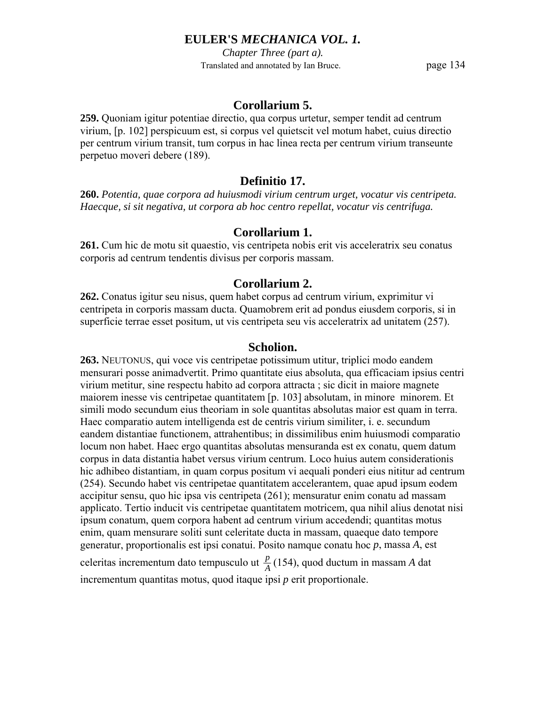*Chapter Three (part a).* Translated and annotated by Ian Bruce. page 134

## **Corollarium 5.**

**259.** Quoniam igitur potentiae directio, qua corpus urtetur, semper tendit ad centrum virium, [p. 102] perspicuum est, si corpus vel quietscit vel motum habet, cuius directio per centrum virium transit, tum corpus in hac linea recta per centrum virium transeunte perpetuo moveri debere (189).

## **Definitio 17.**

**260.** *Potentia, quae corpora ad huiusmodi virium centrum urget, vocatur vis centripeta. Haecque, si sit negativa, ut corpora ab hoc centro repellat, vocatur vis centrifuga.* 

# **Corollarium 1.**

**261.** Cum hic de motu sit quaestio, vis centripeta nobis erit vis acceleratrix seu conatus corporis ad centrum tendentis divisus per corporis massam.

#### **Corollarium 2.**

**262.** Conatus igitur seu nisus, quem habet corpus ad centrum virium, exprimitur vi centripeta in corporis massam ducta. Quamobrem erit ad pondus eiusdem corporis, si in superficie terrae esset positum, ut vis centripeta seu vis acceleratrix ad unitatem (257).

### **Scholion.**

**263.** NEUTONUS, qui voce vis centripetae potissimum utitur, triplici modo eandem mensurari posse animadvertit. Primo quantitate eius absoluta, qua efficaciam ipsius centri virium metitur, sine respectu habito ad corpora attracta ; sic dicit in maiore magnete maiorem inesse vis centripetae quantitatem [p. 103] absolutam, in minore minorem. Et simili modo secundum eius theoriam in sole quantitas absolutas maior est quam in terra. Haec comparatio autem intelligenda est de centris virium similiter, i. e. secundum eandem distantiae functionem, attrahentibus; in dissimilibus enim huiusmodi comparatio locum non habet. Haec ergo quantitas absolutas mensuranda est ex conatu, quem datum corpus in data distantia habet versus virium centrum. Loco huius autem considerationis hic adhibeo distantiam, in quam corpus positum vi aequali ponderi eius nititur ad centrum (254). Secundo habet vis centripetae quantitatem accelerantem, quae apud ipsum eodem accipitur sensu, quo hic ipsa vis centripeta (261); mensuratur enim conatu ad massam applicato. Tertio inducit vis centripetae quantitatem motricem, qua nihil alius denotat nisi ipsum conatum, quem corpora habent ad centrum virium accedendi; quantitas motus enim, quam mensurare soliti sunt celeritate ducta in massam, quaeque dato tempore generatur, proportionalis est ipsi conatui. Posito namque conatu hoc *p*, massa *A*, est

celeritas incrementum dato tempusculo ut  $\frac{p}{A}(154)$ , quod ductum in massam *A* dat incrementum quantitas motus, quod itaque ipsi *p* erit proportionale.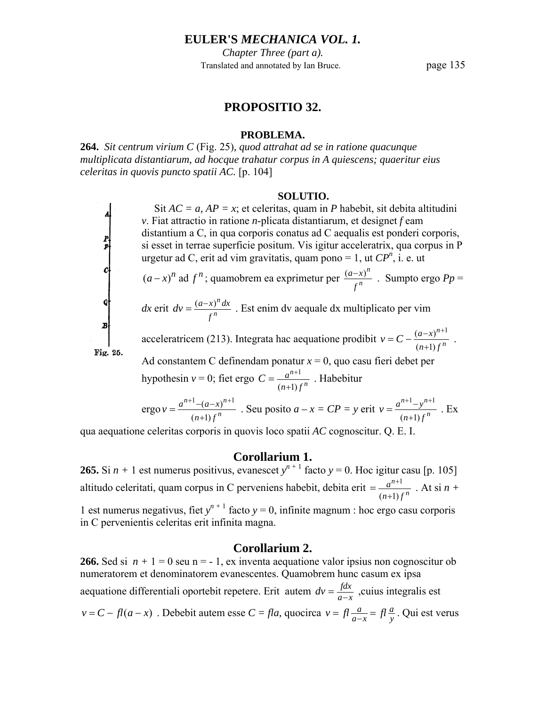*Chapter Three (part a).* Translated and annotated by Ian Bruce. page 135

### **PROPOSITIO 32.**

#### **PROBLEMA.**

**264.** *Sit centrum virium C* (Fig. 25)*, quod attrahat ad se in ratione quacunque multiplicata distantiarum, ad hocque trahatur corpus in A quiescens; quaeritur eius celeritas in quovis puncto spatii AC.* [p. 104]

#### **SOLUTIO.**

Sit  $AC = a$ ,  $AP = x$ ; et celeritas, quam in *P* habebit, sit debita altitudini *v*. Fiat attractio in ratione *n*-plicata distantiarum, et designet *f* eam distantium a C, in qua corporis conatus ad C aequalis est ponderi corporis, si esset in terrae superficie positum. Vis igitur acceleratrix, qua corpus in P urgetur ad C, erit ad vim gravitatis, quam pono = 1, ut  $\overline{CP}^n$ , i. e. ut

 $(a-x)^n$  ad  $f^n$ ; quamobrem ea exprimetur per  $\frac{(a-x)^n}{f^n}$ *n f*  $\frac{(a-x)^n}{n}$ . Sumpto ergo *Pp* =

*dx* erit  $dv = \frac{(a-x)}{f}$ *n f*  $dv = \frac{(a-x)^n dx}{x}$ . Est enim dv aequale dx multiplicato per vim

acceleratricem (213). Integrata hac aequatione prodibit  $v = C - \frac{(a-x)^{n+1}}{(n+1)f^n}$ *n n*  $n+1$ ) f  $v = C - \frac{(a-x)^2}{a-x^2}$ +  $= C - \frac{(a-x)^{n+1}}{n}$ . Ad constantem C definendam ponatur  $x = 0$ , quo casu fieri debet per

hypothesin  $v = 0$ ; fiet ergo  $C = \frac{a^{n+1}}{(n+1)j}$ *n n*  $n+1$ ) f  $C = \frac{a}{a}$ +  $=\frac{a^{n+1}}{n}$ . Habebitur

ergo 
$$
v = \frac{a^{n+1} - (a-x)^{n+1}}{(n+1)f^n}
$$
. Seu posito  $a - x = CP = y$  erit  $v = \frac{a^{n+1} - y^{n+1}}{(n+1)f^n}$ . Ex

qua aequatione celeritas corporis in quovis loco spatii *AC* cognoscitur. Q. E. I.

 $\begin{array}{c}\nP \\
P \\
P\n\end{array}$ 

Fig. 25.

## **Corollarium 1.**

**265.** Si  $n + 1$  est numerus positivus, evanescet  $y^{n+1}$  facto  $y = 0$ . Hoc igitur casu [p. 105] altitudo celeritati, quam corpus in C perveniens habebit, debita erit  $=$   $\frac{a^{n+1}}{(n+1)j}$ *n n*  $n+1$ ) f *a* +  $=\frac{a^{n+1}}{a^{n+1}}$ . At si n + 1 est numerus negativus, fiet  $y^{n+1}$  facto  $y = 0$ , infinite magnum : hoc ergo casu corporis

in C pervenientis celeritas erit infinita magna.

#### **Corollarium 2.**

**266.** Sed si  $n + 1 = 0$  seu n = -1, ex inventa aequatione valor ipsius non cognoscitur ob numeratorem et denominatorem evanescentes. Quamobrem hunc casum ex ipsa aequatione differentiali oportebit repetere. Erit autem  $dv = \frac{fdx}{a-x}$ , cuius integralis est *v* = *C* − *fl*(*a* − *x*). Debebit autem esse *C* = *fla*, quocirca *v* = *fl*<sub>*a*−*x*</sub> = *fl*<sub>*g*</sub> y  $v = fl \frac{a}{a-x} = fl \frac{a}{y}$ . Qui est verus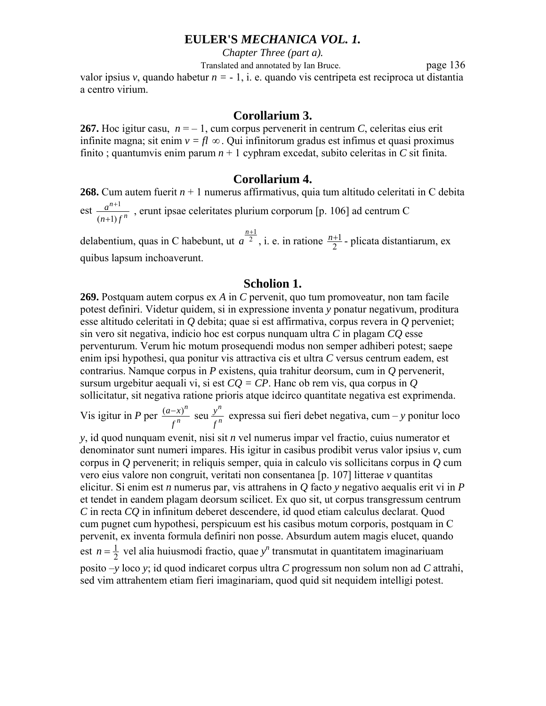*Chapter Three (part a).*

 Translated and annotated by Ian Bruce. page 136 valor ipsius  $v$ , quando habetur  $n = -1$ , i. e. quando vis centripeta est reciproca ut distantia a centro virium.

#### **Corollarium 3.**

**267.** Hoc igitur casu,  $n = -1$ , cum corpus pervenerit in centrum *C*, celeritas eius erit infinite magna; sit enim  $v = fl \infty$ . Qui infinitorum gradus est infimus et quasi proximus finito; quantumvis enim parum  $n + 1$  cyphram excedat, subito celeritas in *C* sit finita.

#### **Corollarium 4.**

**268.** Cum autem fuerit *n* + 1 numerus affirmativus, quia tum altitudo celeritati in C debita est  $(n+1)$ 1 *n n*  $n+1$ ) f *a* +  $\frac{+1}{2}$ , erunt ipsae celeritates plurium corporum [p. 106] ad centrum C

delabentium, quas in C habebunt, ut  $a<sup>2</sup>$ *n*+1  $a^{\frac{n+1}{2}}$ , i. e. in ratione  $\frac{n+1}{2}$  - plicata distantiarum, ex quibus lapsum inchoaverunt.

#### **Scholion 1.**

**269.** Postquam autem corpus ex *A* in *C* pervenit, quo tum promoveatur, non tam facile potest definiri. Videtur quidem, si in expressione inventa *y* ponatur negativum, proditura esse altitudo celeritati in *Q* debita; quae si est affirmativa, corpus revera in *Q* perveniet; sin vero sit negativa, indicio hoc est corpus nunquam ultra *C* in plagam *CQ* esse perventurum. Verum hic motum prosequendi modus non semper adhiberi potest; saepe enim ipsi hypothesi, qua ponitur vis attractiva cis et ultra *C* versus centrum eadem, est contrarius. Namque corpus in *P* existens, quia trahitur deorsum, cum in *Q* pervenerit, sursum urgebitur aequali vi, si est *CQ = CP*. Hanc ob rem vis, qua corpus in *Q* sollicitatur, sit negativa ratione prioris atque idcirco quantitate negativa est exprimenda.

Vis igitur in *P* per  $\frac{(a-x)^n}{f^n}$  seu  $\frac{y^n}{f^n}$ *n n f y f*  $\frac{(a-x)^n}{a-x}$  seu  $\frac{y^n}{a-x}$  expressa sui fieri debet negativa, cum – y ponitur loco

*y*, id quod nunquam evenit, nisi sit *n* vel numerus impar vel fractio, cuius numerator et denominator sunt numeri impares. His igitur in casibus prodibit verus valor ipsius *v*, cum corpus in *Q* pervenerit; in reliquis semper, quia in calculo vis sollicitans corpus in *Q* cum vero eius valore non congruit, veritati non consentanea [p. 107] litterae *v* quantitas elicitur. Si enim est *n* numerus par, vis attrahens in *Q* facto *y* negativo aequalis erit vi in *P* et tendet in eandem plagam deorsum scilicet. Ex quo sit, ut corpus transgressum centrum *C* in recta *CQ* in infinitum deberet descendere, id quod etiam calculus declarat. Quod cum pugnet cum hypothesi, perspicuum est his casibus motum corporis, postquam in C pervenit, ex inventa formula definiri non posse. Absurdum autem magis elucet, quando est  $n = \frac{1}{2}$  vel alia huiusmodi fractio, quae *y*<sup>n</sup> transmutat in quantitatem imaginariuam posito –*y* loco *y*; id quod indicaret corpus ultra *C* progressum non solum non ad *C* attrahi, sed vim attrahentem etiam fieri imaginariam, quod quid sit nequidem intelligi potest.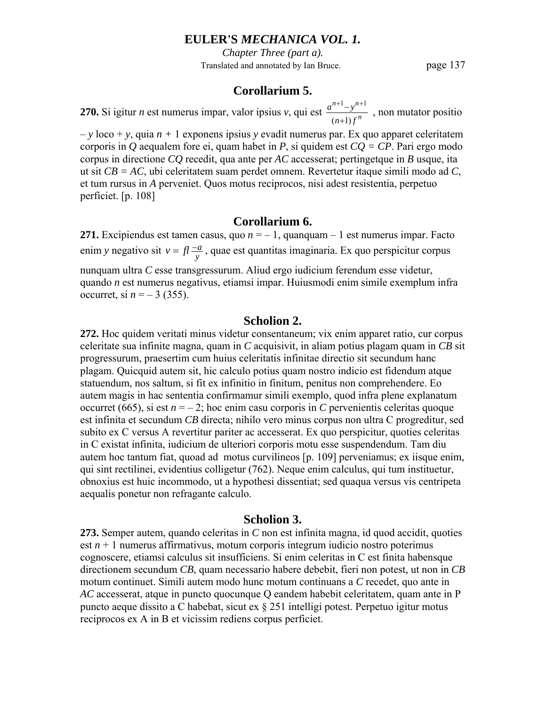*Chapter Three (part a).* Translated and annotated by Ian Bruce. page 137

### **Corollarium 5.**

**270.** Si igitur *n* est numerus impar, valor ipsius *v*, qui est  $\frac{a^{n+1}-y^{n+1}}{(n+1)f^n}$ *n*  $n+1, n$  $n+1$ ) f  $a^{n+1}-y$ +  $\frac{+1 - y^{n+1}}{n}$ , non mutator positio

– *y* loco + *y*, quia *n +* 1 exponens ipsius *y* evadit numerus par. Ex quo apparet celeritatem corporis in *Q* aequalem fore ei, quam habet in *P*, si quidem est *CQ = CP*. Pari ergo modo corpus in directione *CQ* recedit, qua ante per *AC* accesserat; pertingetque in *B* usque, ita ut sit *CB = AC*, ubi celeritatem suam perdet omnem. Revertetur itaque simili modo ad *C*, et tum rursus in *A* perveniet. Quos motus reciprocos, nisi adest resistentia, perpetuo perficiet. [p. 108]

## **Corollarium 6.**

**271.** Excipiendus est tamen casus, quo  $n = -1$ , quanquam – 1 est numerus impar. Facto enim *y* negativo sit  $v = fl \frac{-a}{y}$ , quae est quantitas imaginaria. Ex quo perspicitur corpus nunquam ultra *C* esse transgressurum. Aliud ergo iudicium ferendum esse videtur, quando *n* est numerus negativus, etiamsi impar. Huiusmodi enim simile exemplum infra occurret, si  $n = -3$  (355).

### **Scholion 2.**

**272.** Hoc quidem veritati minus videtur consentaneum; vix enim apparet ratio, cur corpus celeritate sua infinite magna, quam in *C* acquisivit, in aliam potius plagam quam in *CB* sit progressurum, praesertim cum huius celeritatis infinitae directio sit secundum hanc plagam. Quicquid autem sit, hic calculo potius quam nostro indicio est fidendum atque statuendum, nos saltum, si fit ex infinitio in finitum, penitus non comprehendere. Eo autem magis in hac sententia confirmamur simili exemplo, quod infra plene explanatum occurret (665), si est  $n = -2$ ; hoc enim casu corporis in *C* pervenientis celeritas quoque est infinita et secundum *CB* directa; nihilo vero minus corpus non ultra C progreditur, sed subito ex C versus A revertitur pariter ac accesserat. Ex quo perspicitur, quoties celeritas in C existat infinita, iudicium de ulteriori corporis motu esse suspendendum. Tam diu autem hoc tantum fiat, quoad ad motus curvilineos [p. 109] perveniamus; ex iisque enim, qui sint rectilinei, evidentius colligetur (762). Neque enim calculus, qui tum instituetur, obnoxius est huic incommodo, ut a hypothesi dissentiat; sed quaqua versus vis centripeta aequalis ponetur non refragante calculo.

#### **Scholion 3.**

**273.** Semper autem, quando celeritas in *C* non est infinita magna, id quod accidit, quoties est  $n + 1$  numerus affirmativus, motum corporis integrum iudicio nostro poterimus cognoscere, etiamsi calculus sit insufficiens. Si enim celeritas in C est finita habensque directionem secundum *CB*, quam necessario habere debebit, fieri non potest, ut non in *CB* motum continuet. Simili autem modo hunc motum continuans a *C* recedet, quo ante in *AC* accesserat, atque in puncto quocunque Q eandem habebit celeritatem, quam ante in P puncto aeque dissito a C habebat, sicut ex § 251 intelligi potest. Perpetuo igitur motus reciprocos ex A in B et vicissim rediens corpus perficiet.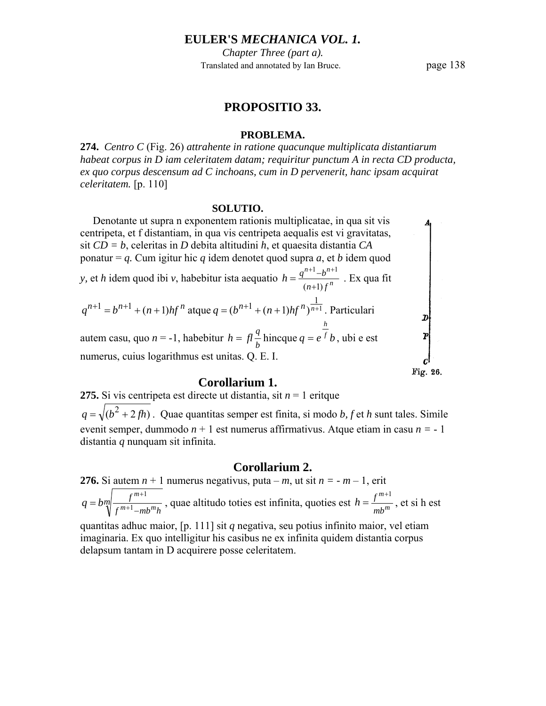*Chapter Three (part a).* Translated and annotated by Ian Bruce. page 138

### **PROPOSITIO 33.**

#### **PROBLEMA.**

**274.** *Centro C* (Fig. 26) *attrahente in ratione quacunque multiplicata distantiarum habeat corpus in D iam celeritatem datam; requiritur punctum A in recta CD producta, ex quo corpus descensum ad C inchoans, cum in D pervenerit, hanc ipsam acquirat celeritatem.* [p. 110]

#### **SOLUTIO.**

 Denotante ut supra n exponentem rationis multiplicatae, in qua sit vis centripeta, et f distantiam, in qua vis centripeta aequalis est vi gravitatas, sit *CD = b*, celeritas in *D* debita altitudini *h*, et quaesita distantia *CA*  $\begin{bmatrix} p \\ p \end{bmatrix}$ ponatur = *q.* Cum igitur hic *q* idem denotet quod supra *a*, et *b* idem quod *y*, et *h* idem quod ibi *v*, habebitur ista aequatio  $h = \frac{q^{n+1} - b^{n+1}}{(n+1) f^n}$  $=\frac{q^{n+1}-b^{n+1}}{q^{n+1}}$ . Ex qua fit  $n+1$   $\mu$ <sup>n</sup>  $h = \frac{q^{n+1}-b}{a}$ *n*  $n+1$ ) f +  $q^{n+1} = b^{n+1} + (n+1)hf^n$  atque  $q = (b^{n+1} + (n+1)hf^n)^{\frac{1}{n+1}}$ . Particulari *h*  $f \frac{q}{b}$  hincque  $q = e^{\overline{f}} b$ , ubi e est autem casu, quo *n* = -1, habebitur *h* =  $fl \frac{q}{l}$  hincque *q* =  $e^{f}$  *b* numerus, cuius logarithmus est unitas. Q. E. I. Fig. 26.

# **Corollarium 1.**

**275.** Si vis centripeta est directe ut distantia, sit *n* = 1 eritque  $q = \sqrt{(b^2 + 2fh)}$ . Quae quantitas semper est finita, si modo *b*, *f* et *h* sunt tales. Simile evenit semper, dummodo *n* + 1 est numerus affirmativus. Atque etiam in casu *n =* - 1 distantia *q* nunquam sit infinita.

#### **Corollarium 2.**

**276.** Si autem  $n + 1$  numerus negativus, puta –  $m$ , ut sit  $n = -m - 1$ , erit *m*  $f^{m+1}$ – $mb^m h$ *f*  $m+1$   $m<sub>h</sub>m$  $q = b_m \sqrt{\frac{f^{m+1}}{f^{m+1} - mb^m h}}$ , quae altitudo toties est infinita, quoties est  $h = \frac{f^{m+1}}{mb^m}$ *mb*  $h = \frac{f^{m+1}}{f^m}$ , et si h est quantitas adhuc maior, [p. 111] sit *q* negativa, seu potius infinito maior, vel etiam imaginaria. Ex quo intelligitur his casibus ne ex infinita quidem distantia corpus

delapsum tantam in D acquirere posse celeritatem.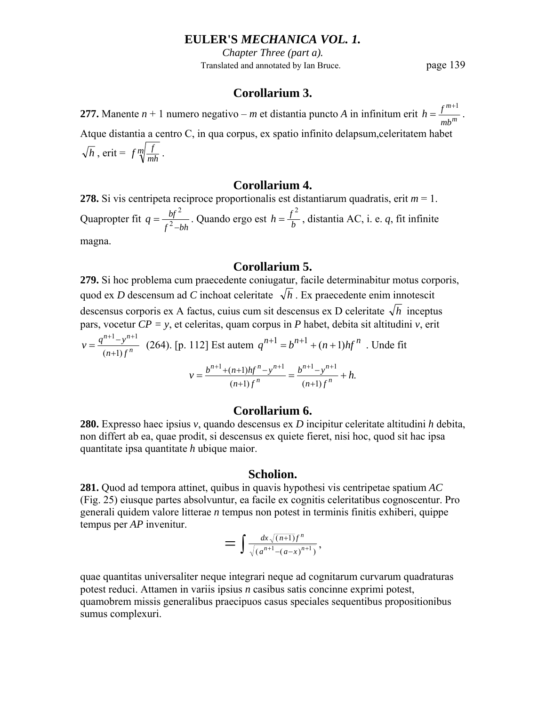*Chapter Three (part a).* Translated and annotated by Ian Bruce. page 139

## **Corollarium 3.**

**277.** Manente  $n + 1$  numero negativo – *m* et distantia puncto *A* in infinitum erit  $h = \frac{f^{m+1}}{m h^m}$ *mb*  $h = \frac{f^{m+1}}{f^{m}}$ . Atque distantia a centro C, in qua corpus, ex spatio infinito delapsum,celeritatem habet  $\overline{h}$ , erit =  $f \sqrt[m]{\frac{f}{mh}}$ .

## **Corollarium 4.**

**278.** Si vis centripeta reciproce proportionalis est distantiarum quadratis, erit  $m = 1$ . Quapropter fit  $q = \frac{bf^2}{f^2 - bh}$ . Quando ergo est  $h = \frac{f^2}{b}$ , distantia AC, i. e. *q*, fit infinite magna.

#### **Corollarium 5.**

**279.** Si hoc problema cum praecedente coniugatur, facile determinabitur motus corporis, quod ex *D* descensum ad *C* inchoat celeritate  $\sqrt{h}$ . Ex praecedente enim innotescit descensus corporis ex A factus, cuius cum sit descensus ex D celeritate  $\sqrt{h}$  inceptus pars, vocetur  $CP = y$ , et celeritas, quam corpus in *P* habet, debita sit altitudini *v*, erit  $n+1 - y^{n+1}$ 

$$
v = \frac{q^{n+1} - y^{n+1}}{(n+1)f^n} \quad (264). \text{ [p. 112] Est autem } q^{n+1} = b^{n+1} + (n+1)hf^n \quad \text{. Unde fit}
$$
\n
$$
v = \frac{b^{n+1} + (n+1)hf^n - y^{n+1}}{(n+1)f^n} = \frac{b^{n+1} - y^{n+1}}{(n+1)f^n} + h.
$$

## **Corollarium 6.**

**280.** Expresso haec ipsius *v*, quando descensus ex *D* incipitur celeritate altitudini *h* debita, non differt ab ea, quae prodit, si descensus ex quiete fieret, nisi hoc, quod sit hac ipsa quantitate ipsa quantitate *h* ubique maior.

#### **Scholion.**

**281.** Quod ad tempora attinet, quibus in quavis hypothesi vis centripetae spatium *AC* (Fig. 25) eiusque partes absolvuntur, ea facile ex cognitis celeritatibus cognoscentur. Pro generali quidem valore litterae *n* tempus non potest in terminis finitis exhiberi, quippe tempus per *AP* invenitur.

$$
= \int \frac{dx \sqrt{(n+1)}f^n}{\sqrt{(a^{n+1}-(a-x)^{n+1})}},
$$

quae quantitas universaliter neque integrari neque ad cognitarum curvarum quadraturas potest reduci. Attamen in variis ipsius *n* casibus satis concinne exprimi potest, quamobrem missis generalibus praecipuos casus speciales sequentibus propositionibus sumus complexuri.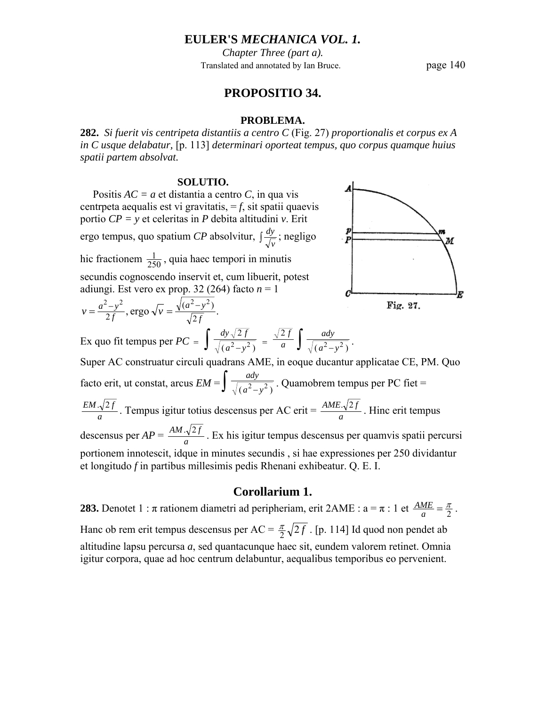*Chapter Three (part a).* Translated and annotated by Ian Bruce. page 140

# **PROPOSITIO 34.**

#### **PROBLEMA.**

**282.** *Si fuerit vis centripeta distantiis a centro C* (Fig. 27) *proportionalis et corpus ex A in C usque delabatur,* [p. 113] *determinari oporteat tempus, quo corpus quamque huius spatii partem absolvat.* 

#### **SOLUTIO.**

Positis  $AC = a$  et distantia a centro *C*, in qua vis centrpeta aequalis est vi gravitatis,  $=f$ , sit spatii quaevis portio *CP = y* et celeritas in *P* debita altitudini *v*. Erit ergo tempus, quo spatium *CP* absolvitur,  $\int \frac{dy}{\sqrt{v}}$ ; negligo Þ hic fractionem  $\frac{1}{250}$ , quia haec tempori in minutis secundis cognoscendo inservit et, cum libuerit, potest adiungi. Est vero ex prop. 32 (264) facto  $n = 1$ R 2  $\mu^2$   $\mu^2$   $\mu^2$  $v = \frac{a^2 - y^2}{2f}$ , ergo  $\sqrt{v} = \frac{\sqrt{a^2 - y^2}}{\sqrt{2}}$ , ergo  $\sqrt{v} = \frac{\sqrt{(a^2 - y^2)}}{\sqrt{2f}}$ .  $a^2 - y$ Fig. 27. 2 *f* Ex quo fit tempus per  $PC = \int \frac{dy\sqrt{2f}}{\sqrt{(a^2 - y^2)}} = \frac{\sqrt{2f}}{a} \int \frac{day}{\sqrt{(a^2 - y^2)}}$  $rac{dy\sqrt{2f}}{(a^2-y^2)} = \frac{\sqrt{2f}}{a} \int \frac{ady}{\sqrt{(a^2-y^2)}}$ . 2 *f ady a*  $(2-y^2)$  = a **J**  $\sqrt{(a^2-y^2)}$  $(a^2-y^2)$ Super AC construatur circuli quadrans AME, in eoque ducantur applicatae CE, PM. Quo facto erit, ut constat, arcus  $EM = \int \frac{ady}{\sqrt{(a^2 - y^2)}}$ . Quamobrem tempus per PC fiet =  $\frac{EM \sqrt{2f}}{a}$ . Tempus igitur totius descensus per AC erit =  $\frac{AME \sqrt{2f}}{a}$ . Hinc erit tempus descensus per  $AP = \frac{AM \cdot \sqrt{2f}}{a}$ . Ex his igitur tempus descensus per quamvis spatii percursi portionem innotescit, idque in minutes secundis , si hae expressiones per 250 dividantur et longitudo *f* in partibus millesimis pedis Rhenani exhibeatur. Q. E. I.

# **Corollarium 1.**

**283.** Denotet 1 :  $\pi$  rationem diametri ad peripheriam, erit 2AME :  $a = \pi$  : 1 et  $\frac{AME}{a} = \frac{\pi}{2}$ . Hanc ob rem erit tempus descensus per  $AC = \frac{\pi}{2} \sqrt{2f}$ . [p. 114] Id quod non pendet ab altitudine lapsu percursa *a*, sed quantacunque haec sit, eundem valorem retinet. Omnia igitur corpora, quae ad hoc centrum delabuntur, aequalibus temporibus eo pervenient.